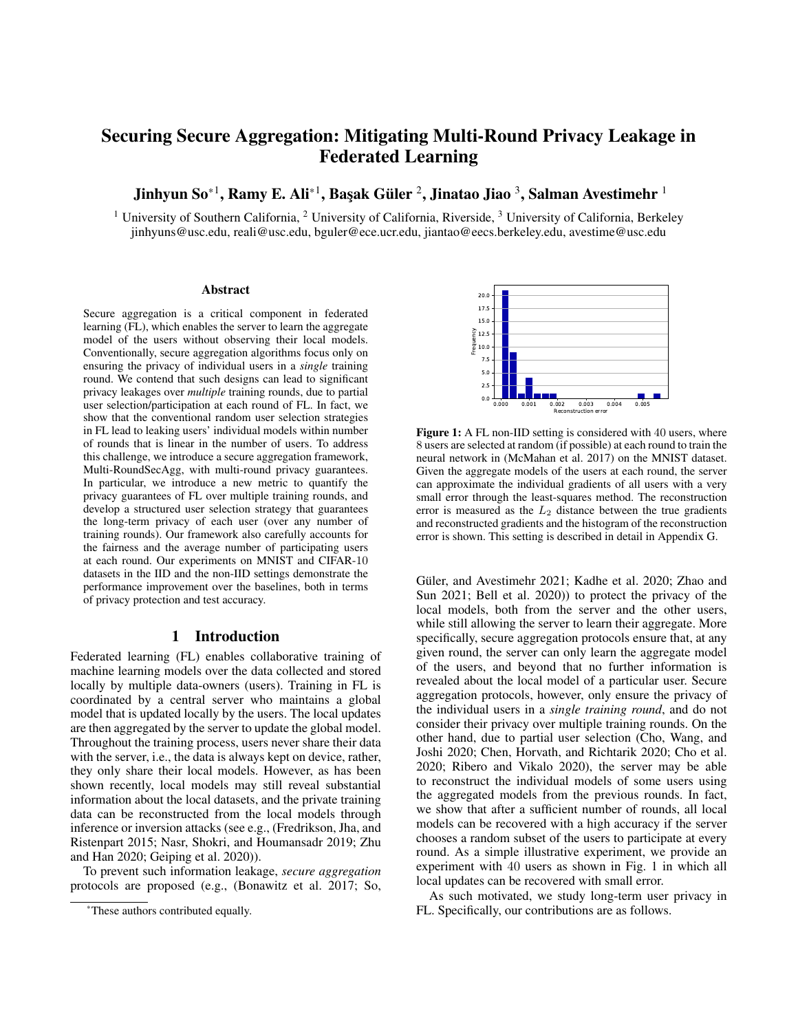# Securing Secure Aggregation: Mitigating Multi-Round Privacy Leakage in Federated Learning

Jinhyun So $^{\ast1}$ , Ramy E. Ali $^{\ast1}$ , Başak Güler  $^2$ , Jinatao Jiao  $^3$ , Salman Avestimehr  $^1$ 

<sup>1</sup> University of Southern California, <sup>2</sup> University of California, Riverside, <sup>3</sup> University of California, Berkeley jinhyuns@usc.edu, reali@usc.edu, bguler@ece.ucr.edu, jiantao@eecs.berkeley.edu, avestime@usc.edu

#### Abstract

Secure aggregation is a critical component in federated learning (FL), which enables the server to learn the aggregate model of the users without observing their local models. Conventionally, secure aggregation algorithms focus only on ensuring the privacy of individual users in a *single* training round. We contend that such designs can lead to significant privacy leakages over *multiple* training rounds, due to partial user selection/participation at each round of FL. In fact, we show that the conventional random user selection strategies in FL lead to leaking users' individual models within number of rounds that is linear in the number of users. To address this challenge, we introduce a secure aggregation framework, Multi-RoundSecAgg, with multi-round privacy guarantees. In particular, we introduce a new metric to quantify the privacy guarantees of FL over multiple training rounds, and develop a structured user selection strategy that guarantees the long-term privacy of each user (over any number of training rounds). Our framework also carefully accounts for the fairness and the average number of participating users at each round. Our experiments on MNIST and CIFAR-10 datasets in the IID and the non-IID settings demonstrate the performance improvement over the baselines, both in terms of privacy protection and test accuracy.

### 1 Introduction

Federated learning (FL) enables collaborative training of machine learning models over the data collected and stored locally by multiple data-owners (users). Training in FL is coordinated by a central server who maintains a global model that is updated locally by the users. The local updates are then aggregated by the server to update the global model. Throughout the training process, users never share their data with the server, i.e., the data is always kept on device, rather, they only share their local models. However, as has been shown recently, local models may still reveal substantial information about the local datasets, and the private training data can be reconstructed from the local models through inference or inversion attacks (see e.g., (Fredrikson, Jha, and Ristenpart 2015; Nasr, Shokri, and Houmansadr 2019; Zhu and Han 2020; Geiping et al. 2020)).

To prevent such information leakage, *secure aggregation* protocols are proposed (e.g., (Bonawitz et al. 2017; So,



Figure 1: A FL non-IID setting is considered with 40 users, where 8 users are selected at random (if possible) at each round to train the neural network in (McMahan et al. 2017) on the MNIST dataset. Given the aggregate models of the users at each round, the server can approximate the individual gradients of all users with a very small error through the least-squares method. The reconstruction error is measured as the  $L_2$  distance between the true gradients and reconstructed gradients and the histogram of the reconstruction error is shown. This setting is described in detail in Appendix G.

Güler, and Avestimehr 2021; Kadhe et al. 2020; Zhao and Sun 2021; Bell et al. 2020)) to protect the privacy of the local models, both from the server and the other users, while still allowing the server to learn their aggregate. More specifically, secure aggregation protocols ensure that, at any given round, the server can only learn the aggregate model of the users, and beyond that no further information is revealed about the local model of a particular user. Secure aggregation protocols, however, only ensure the privacy of the individual users in a *single training round*, and do not consider their privacy over multiple training rounds. On the other hand, due to partial user selection (Cho, Wang, and Joshi 2020; Chen, Horvath, and Richtarik 2020; Cho et al. 2020; Ribero and Vikalo 2020), the server may be able to reconstruct the individual models of some users using the aggregated models from the previous rounds. In fact, we show that after a sufficient number of rounds, all local models can be recovered with a high accuracy if the server chooses a random subset of the users to participate at every round. As a simple illustrative experiment, we provide an experiment with 40 users as shown in Fig. 1 in which all local updates can be recovered with small error.

As such motivated, we study long-term user privacy in FL. Specifically, our contributions are as follows.

<sup>\*</sup>These authors contributed equally.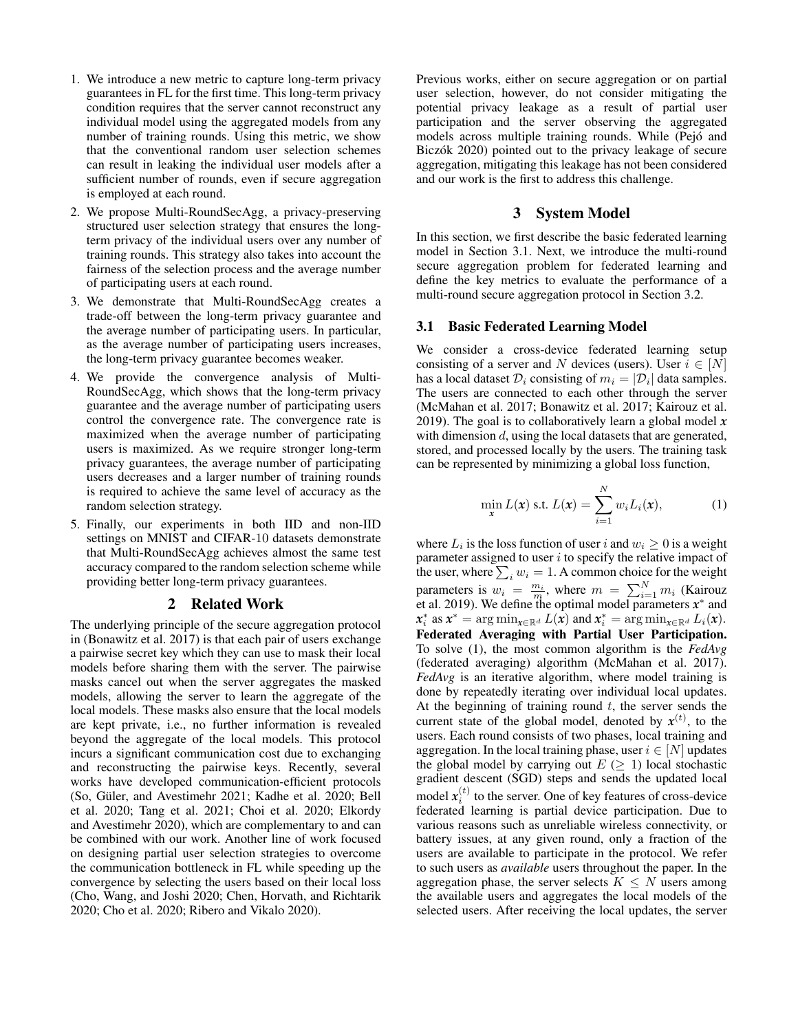- 1. We introduce a new metric to capture long-term privacy guarantees in FL for the first time. This long-term privacy condition requires that the server cannot reconstruct any individual model using the aggregated models from any number of training rounds. Using this metric, we show that the conventional random user selection schemes can result in leaking the individual user models after a sufficient number of rounds, even if secure aggregation is employed at each round.
- 2. We propose Multi-RoundSecAgg, a privacy-preserving structured user selection strategy that ensures the longterm privacy of the individual users over any number of training rounds. This strategy also takes into account the fairness of the selection process and the average number of participating users at each round.
- 3. We demonstrate that Multi-RoundSecAgg creates a trade-off between the long-term privacy guarantee and the average number of participating users. In particular, as the average number of participating users increases, the long-term privacy guarantee becomes weaker.
- 4. We provide the convergence analysis of Multi-RoundSecAgg, which shows that the long-term privacy guarantee and the average number of participating users control the convergence rate. The convergence rate is maximized when the average number of participating users is maximized. As we require stronger long-term privacy guarantees, the average number of participating users decreases and a larger number of training rounds is required to achieve the same level of accuracy as the random selection strategy.
- 5. Finally, our experiments in both IID and non-IID settings on MNIST and CIFAR-10 datasets demonstrate that Multi-RoundSecAgg achieves almost the same test accuracy compared to the random selection scheme while providing better long-term privacy guarantees.

### 2 Related Work

The underlying principle of the secure aggregation protocol in (Bonawitz et al. 2017) is that each pair of users exchange a pairwise secret key which they can use to mask their local models before sharing them with the server. The pairwise masks cancel out when the server aggregates the masked models, allowing the server to learn the aggregate of the local models. These masks also ensure that the local models are kept private, i.e., no further information is revealed beyond the aggregate of the local models. This protocol incurs a significant communication cost due to exchanging and reconstructing the pairwise keys. Recently, several works have developed communication-efficient protocols (So, Güler, and Avestimehr 2021; Kadhe et al. 2020; Bell et al. 2020; Tang et al. 2021; Choi et al. 2020; Elkordy and Avestimehr 2020), which are complementary to and can be combined with our work. Another line of work focused on designing partial user selection strategies to overcome the communication bottleneck in FL while speeding up the convergence by selecting the users based on their local loss (Cho, Wang, and Joshi 2020; Chen, Horvath, and Richtarik 2020; Cho et al. 2020; Ribero and Vikalo 2020).

Previous works, either on secure aggregation or on partial user selection, however, do not consider mitigating the potential privacy leakage as a result of partial user participation and the server observing the aggregated models across multiple training rounds. While (Pejó and Biczók 2020) pointed out to the privacy leakage of secure aggregation, mitigating this leakage has not been considered and our work is the first to address this challenge.

# 3 System Model

In this section, we first describe the basic federated learning model in Section 3.1. Next, we introduce the multi-round secure aggregation problem for federated learning and define the key metrics to evaluate the performance of a multi-round secure aggregation protocol in Section 3.2.

#### 3.1 Basic Federated Learning Model

We consider a cross-device federated learning setup consisting of a server and N devices (users). User  $i \in [N]$ has a local dataset  $\mathcal{D}_i$  consisting of  $m_i = |\mathcal{D}_i|$  data samples. The users are connected to each other through the server (McMahan et al. 2017; Bonawitz et al. 2017; Kairouz et al. 2019). The goal is to collaboratively learn a global model *x* with dimension d, using the local datasets that are generated, stored, and processed locally by the users. The training task can be represented by minimizing a global loss function,

$$
\min_{\mathbf{x}} L(\mathbf{x}) \text{ s.t. } L(\mathbf{x}) = \sum_{i=1}^{N} w_i L_i(\mathbf{x}), \qquad (1)
$$

where  $L_i$  is the loss function of user i and  $w_i \geq 0$  is a weight parameter assigned to user  $i$  to specify the relative impact of the user, where  $\sum_i w_i = 1$ . A common choice for the weight parameters is  $w_i = \frac{m_i}{m}$ , where  $m = \sum_{i=1}^{N} m_i$  (Kairouz et al. 2019). We define the optimal model parameters  $x^*$  and  $x_i^*$  as  $x^* = \argmin_{x \in \mathbb{R}^d} L(x)$  and  $x_i^* = \argmin_{x \in \mathbb{R}^d} L_i(x)$ . Federated Averaging with Partial User Participation. To solve (1), the most common algorithm is the *FedAvg* (federated averaging) algorithm (McMahan et al. 2017). *FedAvg* is an iterative algorithm, where model training is done by repeatedly iterating over individual local updates. At the beginning of training round  $t$ , the server sends the current state of the global model, denoted by  $x^{(t)}$ , to the users. Each round consists of two phases, local training and aggregation. In the local training phase, user  $i \in [N]$  updates the global model by carrying out  $E \geq 1$ ) local stochastic gradient descent (SGD) steps and sends the updated local model  $x_i^{(t)}$  to the server. One of key features of cross-device federated learning is partial device participation. Due to various reasons such as unreliable wireless connectivity, or battery issues, at any given round, only a fraction of the users are available to participate in the protocol. We refer to such users as *available* users throughout the paper. In the aggregation phase, the server selects  $K \leq N$  users among the available users and aggregates the local models of the selected users. After receiving the local updates, the server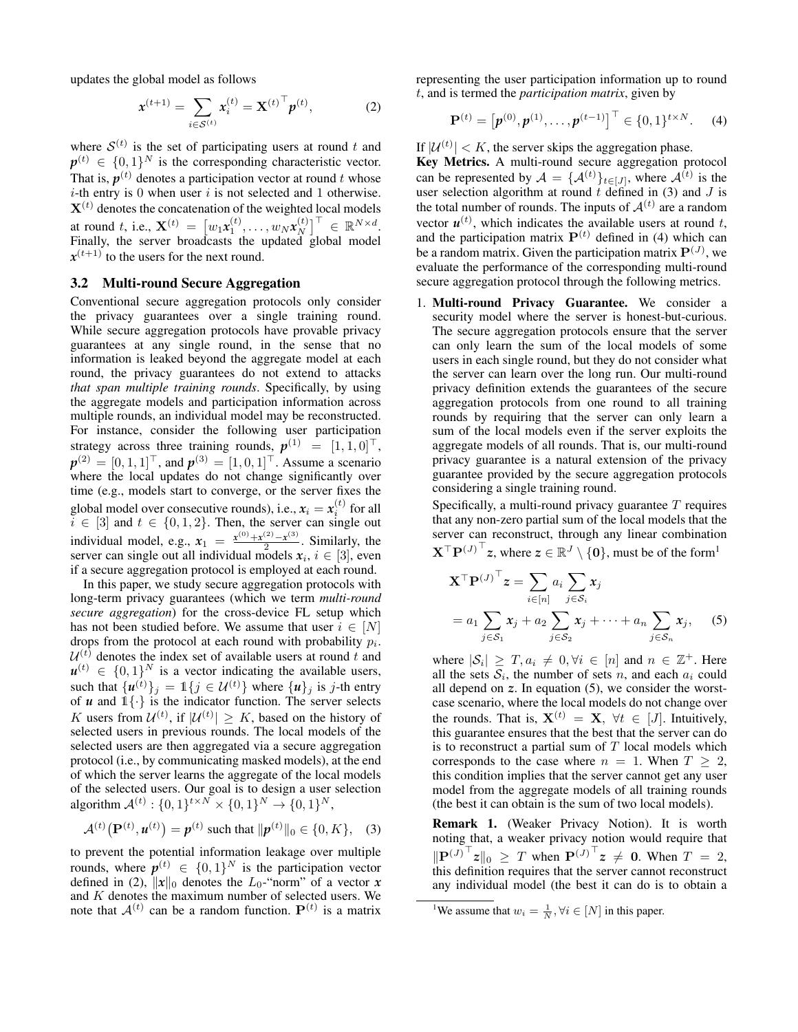updates the global model as follows

$$
\mathbf{x}^{(t+1)} = \sum_{i \in \mathcal{S}^{(t)}} \mathbf{x}_i^{(t)} = \mathbf{X}^{(t)}^\top \mathbf{p}^{(t)},
$$
 (2)

where  $S^{(t)}$  is the set of participating users at round t and  $p^{(t)} \in \{0,1\}^N$  is the corresponding characteristic vector. That is,  $p^{(t)}$  denotes a participation vector at round t whose  $i$ -th entry is 0 when user  $i$  is not selected and 1 otherwise.  $X<sup>(t)</sup>$  denotes the concatenation of the weighted local models at round t, i.e.,  $\mathbf{X}^{(t)} = [w_1 \mathbf{x}_1^{(t)}, \dots, w_N \mathbf{x}_N^{(t)}]$  $\begin{bmatrix} (t) \\ N \end{bmatrix}^{\top} \in \mathbb{R}^{N \times d}.$ Finally, the server broadcasts the updated global model  $x^{(t+1)}$  to the users for the next round.

#### 3.2 Multi-round Secure Aggregation

Conventional secure aggregation protocols only consider the privacy guarantees over a single training round. While secure aggregation protocols have provable privacy guarantees at any single round, in the sense that no information is leaked beyond the aggregate model at each round, the privacy guarantees do not extend to attacks *that span multiple training rounds*. Specifically, by using the aggregate models and participation information across multiple rounds, an individual model may be reconstructed. For instance, consider the following user participation strategy across three training rounds,  $p^{(1)} = [1, 1, 0]^\top$ ,  $p^{(2)} = [0, 1, 1]^\top$ , and  $p^{(3)} = [1, 0, 1]^\top$ . Assume a scenario where the local updates do not change significantly over time (e.g., models start to converge, or the server fixes the global model over consecutive rounds), i.e.,  $x_i = x_i^{(t)}$  for all  $i \in [3]$  and  $t \in \{0, 1, 2\}$ . Then, the server can single out individual model, e.g.,  $x_1 = \frac{x^{(0)} + x^{(2)} - x^{(3)}}{2}$  $\frac{2}{2}$ . Similarly, the server can single out all individual models  $x_i, i \in [3]$ , even if a secure aggregation protocol is employed at each round.

In this paper, we study secure aggregation protocols with long-term privacy guarantees (which we term *multi-round secure aggregation*) for the cross-device FL setup which has not been studied before. We assume that user  $i \in [N]$ drops from the protocol at each round with probability  $p_i$ .  $\mathcal{U}^{(t)}$  denotes the index set of available users at round t and  $u^{(t)} \in \{0,1\}^N$  is a vector indicating the available users, such that  $\{u^{(t)}\}_j = \mathbb{1}\{j \in \mathcal{U}^{(t)}\}$  where  $\{u\}_j$  is j-th entry of  $u$  and  $1\{\cdot\}$  is the indicator function. The server selects K users from  $\mathcal{U}^{(t)}$ , if  $|\mathcal{U}^{(t)}| \geq K$ , based on the history of selected users in previous rounds. The local models of the selected users are then aggregated via a secure aggregation protocol (i.e., by communicating masked models), at the end of which the server learns the aggregate of the local models of the selected users. Our goal is to design a user selection algorithm  $\mathcal{A}^{(t)}: \{0, 1\}^{t \times N} \times \{0, 1\}^{N} \rightarrow \{0, 1\}^{N}$ ,

$$
\mathcal{A}^{(t)}(\mathbf{P}^{(t)}, \mathbf{u}^{(t)}) = \mathbf{p}^{(t)} \text{ such that } \|\mathbf{p}^{(t)}\|_0 \in \{0, K\}, \quad (3)
$$

to prevent the potential information leakage over multiple rounds, where  $p^{(t)} \in \{0,1\}^N$  is the participation vector defined in (2),  $||x||_0$  denotes the  $L_0$ -"norm" of a vector  $x$ and  $K$  denotes the maximum number of selected users. We note that  $A^{(t)}$  can be a random function.  $P^{(t)}$  is a matrix

representing the user participation information up to round t, and is termed the *participation matrix*, given by

$$
\mathbf{P}^{(t)} = \left[ \boldsymbol{p}^{(0)}, \boldsymbol{p}^{(1)}, \dots, \boldsymbol{p}^{(t-1)} \right]^\top \in \{0, 1\}^{t \times N}.
$$
 (4)

If  $|\mathcal{U}^{(t)}| < K$ , the server skips the aggregation phase.

Key Metrics. A multi-round secure aggregation protocol can be represented by  $A = \{A^{(t)}\}_{t \in [J]}$ , where  $A^{(t)}$  is the user selection algorithm at round  $t$  defined in (3) and  $J$  is the total number of rounds. The inputs of  $\mathcal{A}^{(t)}$  are a random vector  $u^{(t)}$ , which indicates the available users at round t, and the participation matrix  $P^{(t)}$  defined in (4) which can be a random matrix. Given the participation matrix  $\mathbf{P}^{(J)}$ , we evaluate the performance of the corresponding multi-round secure aggregation protocol through the following metrics.

1. Multi-round Privacy Guarantee. We consider a security model where the server is honest-but-curious. The secure aggregation protocols ensure that the server can only learn the sum of the local models of some users in each single round, but they do not consider what the server can learn over the long run. Our multi-round privacy definition extends the guarantees of the secure aggregation protocols from one round to all training rounds by requiring that the server can only learn a sum of the local models even if the server exploits the aggregate models of all rounds. That is, our multi-round privacy guarantee is a natural extension of the privacy guarantee provided by the secure aggregation protocols considering a single training round.

Specifically, a multi-round privacy guarantee  $T$  requires that any non-zero partial sum of the local models that the server can reconstruct, through any linear combination  $\mathbf{X}^\top \mathbf{P}^{(J)^\top} z$ , where  $z \in \mathbb{R}^J \setminus \{\mathbf{0}\}$ , must be of the form<sup>1</sup>

$$
\mathbf{X}^{\top} \mathbf{P}^{(J)}^{\top} \mathbf{z} = \sum_{i \in [n]} a_i \sum_{j \in S_i} x_j
$$
  
=  $a_1 \sum_{j \in S_1} x_j + a_2 \sum_{j \in S_2} x_j + \dots + a_n \sum_{j \in S_n} x_j,$  (5)

where  $|\mathcal{S}_i| \geq T, a_i \neq 0, \forall i \in [n]$  and  $n \in \mathbb{Z}^+$ . Here all the sets  $S_i$ , the number of sets n, and each  $a_i$  could all depend on *z*. In equation (5), we consider the worstcase scenario, where the local models do not change over the rounds. That is,  $X^{(t)} = X$ ,  $\forall t \in [J]$ . Intuitively, this guarantee ensures that the best that the server can do is to reconstruct a partial sum of  $T$  local models which corresponds to the case where  $n = 1$ . When  $T \geq 2$ , this condition implies that the server cannot get any user model from the aggregate models of all training rounds (the best it can obtain is the sum of two local models).

Remark 1. (Weaker Privacy Notion). It is worth noting that, a weaker privacy notion would require that  $\|\mathbf{P}^{(J)}\|_0 \geq T$  when  $\mathbf{P}^{(J)}\|_z \neq 0$ . When  $T = 2$ , this definition requires that the server cannot reconstruct any individual model (the best it can do is to obtain a

<sup>&</sup>lt;sup>1</sup>We assume that  $w_i = \frac{1}{N}, \forall i \in [N]$  in this paper.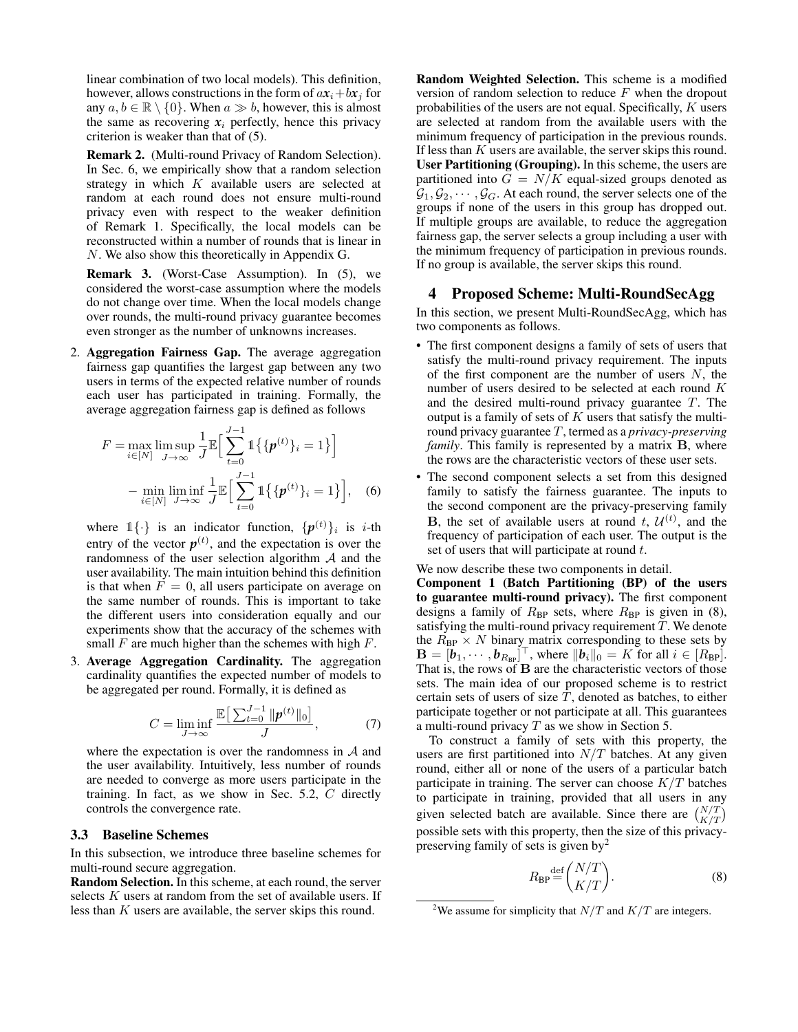linear combination of two local models). This definition, however, allows constructions in the form of  $ax_i+bx_j$  for any  $a, b \in \mathbb{R} \setminus \{0\}$ . When  $a \gg b$ , however, this is almost the same as recovering  $x_i$  perfectly, hence this privacy criterion is weaker than that of (5).

Remark 2. (Multi-round Privacy of Random Selection). In Sec. 6, we empirically show that a random selection strategy in which  $K$  available users are selected at random at each round does not ensure multi-round privacy even with respect to the weaker definition of Remark 1. Specifically, the local models can be reconstructed within a number of rounds that is linear in N. We also show this theoretically in Appendix G.

Remark 3. (Worst-Case Assumption). In (5), we considered the worst-case assumption where the models do not change over time. When the local models change over rounds, the multi-round privacy guarantee becomes even stronger as the number of unknowns increases.

2. Aggregation Fairness Gap. The average aggregation fairness gap quantifies the largest gap between any two users in terms of the expected relative number of rounds each user has participated in training. Formally, the average aggregation fairness gap is defined as follows

$$
F = \max_{i \in [N]} \limsup_{J \to \infty} \frac{1}{J} \mathbb{E} \Big[ \sum_{t=0}^{J-1} \mathbb{1} \{ \{ \boldsymbol{p}^{(t)} \}_i = 1 \} \Big]
$$
  
- 
$$
\min_{i \in [N]} \liminf_{J \to \infty} \frac{1}{J} \mathbb{E} \Big[ \sum_{t=0}^{J-1} \mathbb{1} \{ \{ \boldsymbol{p}^{(t)} \}_i = 1 \} \Big], \quad (6)
$$

where  $1\{\cdot\}$  is an indicator function,  $\{p^{(t)}\}_i$  is *i*-th entry of the vector  $p^{(t)}$ , and the expectation is over the randomness of the user selection algorithm  $A$  and the user availability. The main intuition behind this definition is that when  $F = 0$ , all users participate on average on the same number of rounds. This is important to take the different users into consideration equally and our experiments show that the accuracy of the schemes with small  $F$  are much higher than the schemes with high  $F$ .

3. Average Aggregation Cardinality. The aggregation cardinality quantifies the expected number of models to be aggregated per round. Formally, it is defined as

$$
C = \liminf_{J \to \infty} \frac{\mathbb{E}\left[\sum_{t=0}^{J-1} \|\boldsymbol{p}^{(t)}\|_0\right]}{J},\tag{7}
$$

where the expectation is over the randomness in  $A$  and the user availability. Intuitively, less number of rounds are needed to converge as more users participate in the training. In fact, as we show in Sec. 5.2, C directly controls the convergence rate.

#### 3.3 Baseline Schemes

In this subsection, we introduce three baseline schemes for multi-round secure aggregation.

Random Selection. In this scheme, at each round, the server selects  $K$  users at random from the set of available users. If less than K users are available, the server skips this round.

Random Weighted Selection. This scheme is a modified version of random selection to reduce  $F$  when the dropout probabilities of the users are not equal. Specifically,  $K$  users are selected at random from the available users with the minimum frequency of participation in the previous rounds. If less than K users are available, the server skips this round. User Partitioning (Grouping). In this scheme, the users are partitioned into  $G = N/K$  equal-sized groups denoted as  $\mathcal{G}_1, \mathcal{G}_2, \cdots, \mathcal{G}_G$ . At each round, the server selects one of the groups if none of the users in this group has dropped out. If multiple groups are available, to reduce the aggregation fairness gap, the server selects a group including a user with the minimum frequency of participation in previous rounds. If no group is available, the server skips this round.

#### 4 Proposed Scheme: Multi-RoundSecAgg

In this section, we present Multi-RoundSecAgg, which has two components as follows.

- The first component designs a family of sets of users that satisfy the multi-round privacy requirement. The inputs of the first component are the number of users  $N$ , the number of users desired to be selected at each round K and the desired multi-round privacy guarantee  $T$ . The output is a family of sets of  $K$  users that satisfy the multiround privacy guarantee T, termed as a *privacy-preserving family*. This family is represented by a matrix **B**, where the rows are the characteristic vectors of these user sets.
- The second component selects a set from this designed family to satisfy the fairness guarantee. The inputs to the second component are the privacy-preserving family **B**, the set of available users at round t,  $\mathcal{U}^{(t)}$ , and the frequency of participation of each user. The output is the set of users that will participate at round  $t$ .

We now describe these two components in detail.

Component 1 (Batch Partitioning (BP) of the users to guarantee multi-round privacy). The first component designs a family of  $R_{BP}$  sets, where  $R_{BP}$  is given in (8), satisfying the multi-round privacy requirement  $T$ . We denote the  $R_{BP} \times N$  binary matrix corresponding to these sets by  $\mathbf{B} = [\boldsymbol{b}_1, \cdots, \boldsymbol{b}_{R_{\text{BP}}}]^\top$ , where  $\|\boldsymbol{b}_i\|_0 = K$  for all  $i \in [R_{\text{BP}}]$ . That is, the rows of **B** are the characteristic vectors of those sets. The main idea of our proposed scheme is to restrict certain sets of users of size  $T$ , denoted as batches, to either participate together or not participate at all. This guarantees a multi-round privacy  $T$  as we show in Section 5.

To construct a family of sets with this property, the users are first partitioned into  $N/T$  batches. At any given round, either all or none of the users of a particular batch participate in training. The server can choose  $K/T$  batches to participate in training, provided that all users in any given selected batch are available. Since there are  $\binom{N/T}{K/T}$ possible sets with this property, then the size of this privacypreserving family of sets is given  $by<sup>2</sup>$ 

$$
R_{\rm BP} \stackrel{\text{def}}{=} \binom{N/T}{K/T}.
$$
 (8)

<sup>&</sup>lt;sup>2</sup>We assume for simplicity that  $N/T$  and  $K/T$  are integers.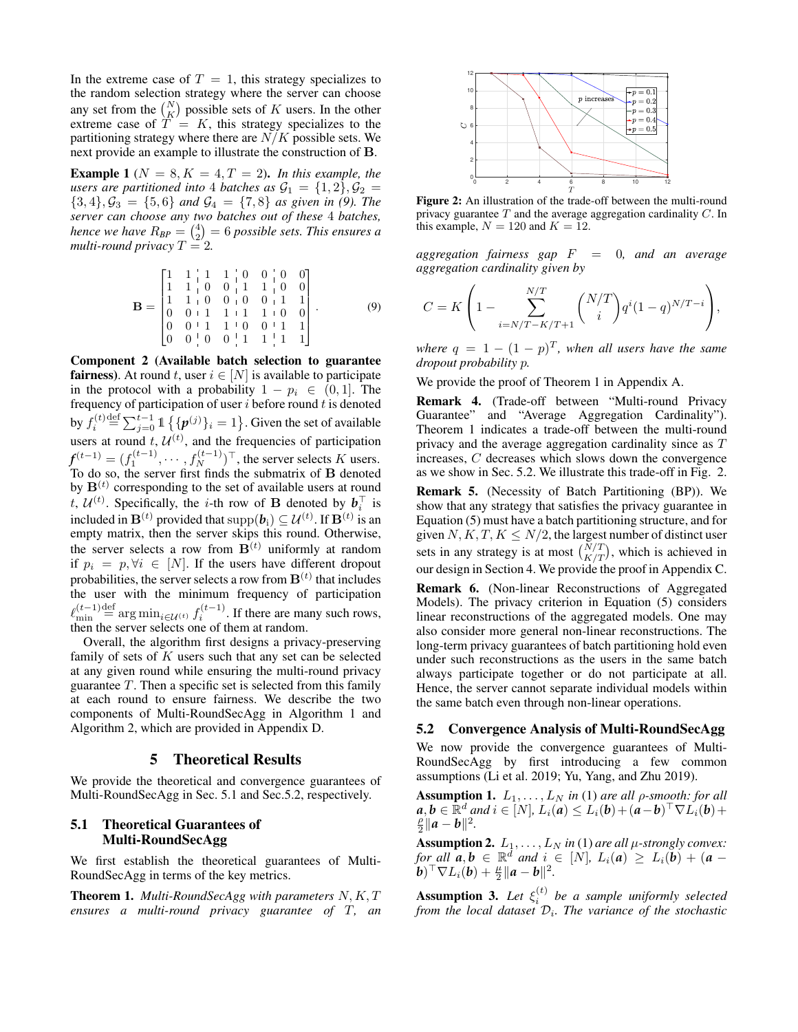In the extreme case of  $T = 1$ , this strategy specializes to the random selection strategy where the server can choose any set from the  $\binom{N}{K}$  possible sets of K users. In the other extreme case of  $\overline{T} = K$ , this strategy specializes to the partitioning strategy where there are  $N/K$  possible sets. We next provide an example to illustrate the construction of B.

**Example 1** ( $N = 8, K = 4, T = 2$ ). *In this example, the users are partitioned into* 4 *batches as*  $\mathcal{G}_1 = \{1,2\}, \mathcal{G}_2 =$  ${3, 4}, \mathcal{G}_3 = {5, 6}$  *and*  $\mathcal{G}_4 = {7, 8}$  *as given in (9). The server can choose any two batches out of these* 4 *batches, hence we have*  $R_{BP} = \binom{4}{2} = 6$  *possible sets. This ensures a multi-round privacy*  $T = 2$ .

$$
\mathbf{B} = \begin{bmatrix} 1 & 1 & 1 & 1 & 0 & 0 & 0 & 0 \\ 1 & 1 & 1 & 0 & 0 & 1 & 1 & 0 & 0 \\ 1 & 1 & 0 & 0 & 0 & 0 & 1 & 1 & 1 \\ 0 & 0 & 1 & 1 & 1 & 1 & 1 & 0 & 0 \\ 0 & 0 & 1 & 1 & 1 & 0 & 0 & 1 & 1 \\ 0 & 0 & 0 & 0 & 1 & 1 & 1 & 1 & 1 \end{bmatrix} . \tag{9}
$$

Component 2 (Available batch selection to guarantee **fairness**). At round t, user  $i \in [N]$  is available to participate in the protocol with a probability  $1 - p_i \in (0, 1]$ . The frequency of participation of user  $i$  before round  $t$  is denoted by  $f_i^{(t)} \stackrel{\text{def}}{=} \sum_{j=0}^{t-1} \mathbb{1}\left\{ \{\pmb{p}^{(j)}\}_i = 1 \right\}$ . Given the set of available users at round  $t, U^{(t)}$ , and the frequencies of participation  $f^{(t-1)} = (f_1^{(t-1)}, \cdots, f_N^{(t-1)})^{\top}$ , the server selects K users. To do so, the server first finds the submatrix of B denoted by  $\mathbf{B}^{(t)}$  corresponding to the set of available users at round t,  $\mathcal{U}^{(t)}$ . Specifically, the *i*-th row of **B** denoted by  $b_i^{\top}$  is included in  $\mathbf{B}^{(t)}$  provided that  $\text{supp}(\boldsymbol{b}_i) \subseteq \mathcal{U}^{(t)}$ . If  $\mathbf{B}^{(t)}$  is an empty matrix, then the server skips this round. Otherwise, the server selects a row from  $\mathbf{B}^{(t)}$  uniformly at random if  $p_i = p, \forall i \in [N]$ . If the users have different dropout probabilities, the server selects a row from  $\mathbf{B}^{(t)}$  that includes the user with the minimum frequency of participation  $\ell_{\min}^{(t-1)}$  $\lim_{\text{min}}^{(t-1)} \stackrel{\text{def}}{=} \arg \min_{i \in \mathcal{U}^{(t)}} f_i^{(t-1)}$ . If there are many such rows, then the server selects one of them at random. some three the state is to be stated in the state of  $\alpha$  multi-round prior is  $\frac{1}{2}$ . (i.e.,  $\alpha$  and  $\alpha$  is  $\alpha$  and  $\alpha$  is  $\alpha$  and  $\alpha$  is  $\alpha$  and  $\alpha$  is  $\alpha$  is  $\alpha$  is  $\alpha$  is  $\alpha$  is  $\alpha$  is  $\alpha$  is  $\alpha$  is

Overall, the algorithm first designs a privacy-preserving family of sets of  $K$  users such that any set can be selected at any given round while ensuring the multi-round privacy guarantee  $T$ . Then a specific set is selected from this family at each round to ensure fairness. We describe the two components of Multi-RoundSecAgg in Algorithm 1 and Algorithm 2, which are provided in Appendix D.

### 5 Theoretical Results

We provide the theoretical and convergence guarantees of Multi-RoundSecAgg in Sec. 5.1 and Sec.5.2, respectively.

### 5.1 Theoretical Guarantees of Multi-RoundSecAgg

We first establish the theoretical guarantees of Multi-RoundSecAgg in terms of the key metrics.

**Theorem 1.** *Multi-RoundSecAgg with parameters*  $N, K, T$  *ensures* a *multi-round privacy guarantee of*  $T$ *, an* 



Figure 2: An illustration of the trade-off between the multi-round privacy guarantee  $T$  and the average aggregation cardinality  $C$ . In this example,  $N = 120$  and  $K = 12$ .

*aggregation fairness gap* F = 0*, and an average aggregation cardinality given by*

$$
C = K \left( 1 - \sum_{i=N/T-K/T+1}^{N/T} {N/T \choose i} q^{i} (1-q)^{N/T-i} \right),
$$

*where*  $q = 1 - (1 - p)^T$ , when all users have the same *dropout probability* p*.*

We provide the proof of Theorem 1 in Appendix A.

Remark 4. (Trade-off between "Multi-round Privacy Guarantee" and "Average Aggregation Cardinality"). Theorem 1 indicates a trade-off between the multi-round privacy and the average aggregation cardinality since as T increases, C decreases which slows down the convergence as we show in Sec. 5.2. We illustrate this trade-off in Fig. 2.

Remark 5. (Necessity of Batch Partitioning (BP)). We show that any strategy that satisfies the privacy guarantee in Equation (5) must have a batch partitioning structure, and for given  $N, K, T, K \leq N/2$ , the largest number of distinct user sets in any strategy is at most  $\binom{N/T}{K/T}$ , which is achieved in our design in Section 4. We provide the proof in Appendix C.

Remark 6. (Non-linear Reconstructions of Aggregated Models). The privacy criterion in Equation (5) considers linear reconstructions of the aggregated models. One may also consider more general non-linear reconstructions. The long-term privacy guarantees of batch partitioning hold even under such reconstructions as the users in the same batch always participate together or do not participate at all. Hence, the server cannot separate individual models within the same batch even through non-linear operations.

#### 5.2 Convergence Analysis of Multi-RoundSecAgg

We now provide the convergence guarantees of Multi-RoundSecAgg by first introducing a few common assumptions (Li et al. 2019; Yu, Yang, and Zhu 2019).

**Assumption 1.**  $L_1, \ldots, L_N$  *in* (1) *are all p*-smooth: for all  $a, b \in \mathbb{R}^d$  and  $i \in [N]$ ,  $L_i(a) \le L_i(b) + (a-b)^\top \nabla L_i(b) +$  $\frac{\rho}{2}$ ||*a* − *b*||<sup>2</sup>.

**Assumption 2.**  $L_1, \ldots, L_N$  *in* (1) *are all*  $\mu$ -strongly convex: *for all*  $\boldsymbol{a}, \boldsymbol{b} \in \mathbb{R}^d$  *and*  $i \in [N]$ ,  $L_i(\boldsymbol{a}) \geq L_i(\boldsymbol{b}) + (\boldsymbol{a} - \boldsymbol{b})$  $\hat{b}(\bm{b})^{\top} \nabla L_i(\bm{b}) + \frac{\mu}{2} ||\bm{a} - \bm{b}||^2.$ 

**Assumption 3.** Let  $\xi_i^{(t)}$  be a sample uniformly selected from the local dataset  $\mathcal{D}_i$ . The variance of the stochastic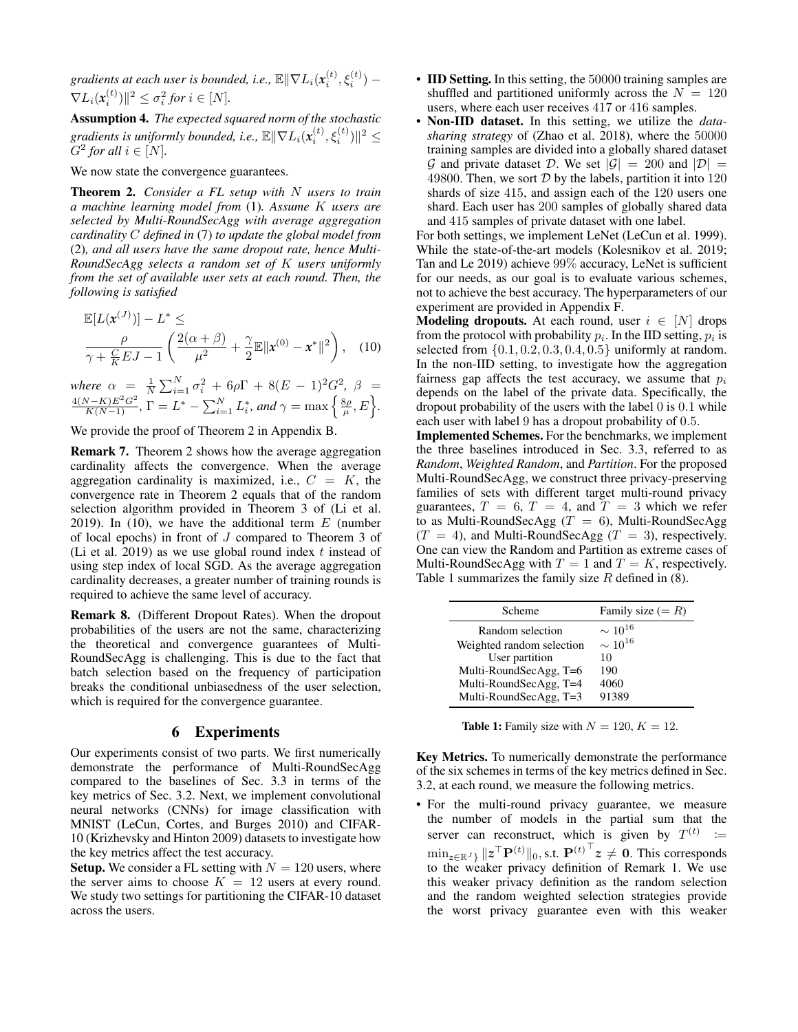gradients at each user is bounded, i.e.,  $\mathbb{E} \| \nabla L_i(\pmb{x}^{(t)}_i, \xi^{(t)}_i) \nabla L_i(\mathbf{x}_i^{(t)})\|^2 \leq \sigma_i^2$  for  $i \in [N]$ .

Assumption 4. *The expected squared norm of the stochastic gradients is uniformly bounded, i.e.,*  $\mathbb{E} \|\nabla L_i(\pmb{x}_i^{(t)}, \xi_i^{(t)})\|^2 \leq$  $G^2$  for all  $i \in [N]$ .

We now state the convergence guarantees.

Theorem 2. *Consider a FL setup with* N *users to train a machine learning model from* (1)*. Assume* K *users are selected by Multi-RoundSecAgg with average aggregation cardinality* C *defined in* (7) *to update the global model from* (2)*, and all users have the same dropout rate, hence Multi-RoundSecAgg selects a random set of* K *users uniformly from the set of available user sets at each round. Then, the following is satisfied*

$$
\mathbb{E}[L(\mathbf{x}^{(J)})] - L^* \leq \frac{\rho}{\gamma + \frac{C}{K}EJ - 1} \left( \frac{2(\alpha + \beta)}{\mu^2} + \frac{\gamma}{2} \mathbb{E} ||\mathbf{x}^{(0)} - \mathbf{x}^*||^2 \right), \quad (10)
$$

*where*  $\alpha = \frac{1}{N} \sum_{i=1}^{N} \sigma_i^2 + 6\rho \Gamma + 8(E-1)^2 G^2$ , β =  $\frac{4(N-K)E^2G^2}{K(N-1)}, \Gamma = L^* - \sum_{i=1}^N L_i^*$ , and  $\gamma = \max\left\{\frac{8\rho}{\mu}, E\right\}.$ 

We provide the proof of Theorem 2 in Appendix B.

Remark 7. Theorem 2 shows how the average aggregation cardinality affects the convergence. When the average aggregation cardinality is maximized, i.e.,  $C = K$ , the convergence rate in Theorem 2 equals that of the random selection algorithm provided in Theorem 3 of (Li et al. 2019). In (10), we have the additional term  $E$  (number of local epochs) in front of J compared to Theorem 3 of (Li et al. 2019) as we use global round index  $t$  instead of using step index of local SGD. As the average aggregation cardinality decreases, a greater number of training rounds is required to achieve the same level of accuracy.

Remark 8. (Different Dropout Rates). When the dropout probabilities of the users are not the same, characterizing the theoretical and convergence guarantees of Multi-RoundSecAgg is challenging. This is due to the fact that batch selection based on the frequency of participation breaks the conditional unbiasedness of the user selection, which is required for the convergence guarantee.

### 6 Experiments

Our experiments consist of two parts. We first numerically demonstrate the performance of Multi-RoundSecAgg compared to the baselines of Sec. 3.3 in terms of the key metrics of Sec. 3.2. Next, we implement convolutional neural networks (CNNs) for image classification with MNIST (LeCun, Cortes, and Burges 2010) and CIFAR-10 (Krizhevsky and Hinton 2009) datasets to investigate how the key metrics affect the test accuracy.

**Setup.** We consider a FL setting with  $N = 120$  users, where the server aims to choose  $K = 12$  users at every round. We study two settings for partitioning the CIFAR-10 dataset across the users.

- **IID Setting.** In this setting, the 50000 training samples are shuffled and partitioned uniformly across the  $N = 120$ users, where each user receives 417 or 416 samples.
- Non-IID dataset. In this setting, we utilize the *datasharing strategy* of (Zhao et al. 2018), where the 50000 training samples are divided into a globally shared dataset  $\mathcal G$  and private dataset  $\mathcal D$ . We set  $|\mathcal G|=200$  and  $|\mathcal D|=$ 49800. Then, we sort  $D$  by the labels, partition it into 120 shards of size 415, and assign each of the 120 users one shard. Each user has 200 samples of globally shared data and 415 samples of private dataset with one label.

For both settings, we implement LeNet (LeCun et al. 1999). While the state-of-the-art models (Kolesnikov et al. 2019; Tan and Le 2019) achieve 99% accuracy, LeNet is sufficient for our needs, as our goal is to evaluate various schemes, not to achieve the best accuracy. The hyperparameters of our experiment are provided in Appendix F.

**Modeling dropouts.** At each round, user  $i \in [N]$  drops from the protocol with probability  $p_i$ . In the IID setting,  $p_i$  is selected from  $\{0.1, 0.2, 0.3, 0.4, 0.5\}$  uniformly at random. In the non-IID setting, to investigate how the aggregation fairness gap affects the test accuracy, we assume that  $p_i$ depends on the label of the private data. Specifically, the dropout probability of the users with the label 0 is 0.1 while each user with label 9 has a dropout probability of 0.5.

Implemented Schemes. For the benchmarks, we implement the three baselines introduced in Sec. 3.3, referred to as *Random*, *Weighted Random*, and *Partition*. For the proposed Multi-RoundSecAgg, we construct three privacy-preserving families of sets with different target multi-round privacy guarantees,  $T = 6$ ,  $T = 4$ , and  $T = 3$  which we refer to as Multi-RoundSecAgg  $(T = 6)$ , Multi-RoundSecAgg  $(T = 4)$ , and Multi-RoundSecAgg  $(T = 3)$ , respectively. One can view the Random and Partition as extreme cases of Multi-RoundSecAgg with  $T = 1$  and  $T = K$ , respectively. Table 1 summarizes the family size  $R$  defined in (8).

| Scheme                    | Family size $(= R)$ |
|---------------------------|---------------------|
| Random selection          | $\sim 10^{16}$      |
| Weighted random selection | $\sim 10^{16}$      |
| User partition            | 10                  |
| Multi-RoundSecAgg, T=6    | 190                 |
| Multi-RoundSecAgg, T=4    | 4060                |
| Multi-RoundSecAgg, T=3    | 91389               |

**Table 1:** Family size with  $N = 120, K = 12$ .

Key Metrics. To numerically demonstrate the performance of the six schemes in terms of the key metrics defined in Sec. 3.2, at each round, we measure the following metrics.

• For the multi-round privacy guarantee, we measure the number of models in the partial sum that the server can reconstruct, which is given by  $T^{(t)} :=$  $\min_{\mathsf{z}\in\mathbb{R}^J\}}\|\mathsf{z}^\top\mathbf{P}^{(t)}\|_0, \text{s.t. } \mathbf{P}^{(t)^\top}\mathsf{z}\,\neq\,\mathbf{0}.$  This corresponds to the weaker privacy definition of Remark 1. We use this weaker privacy definition as the random selection and the random weighted selection strategies provide the worst privacy guarantee even with this weaker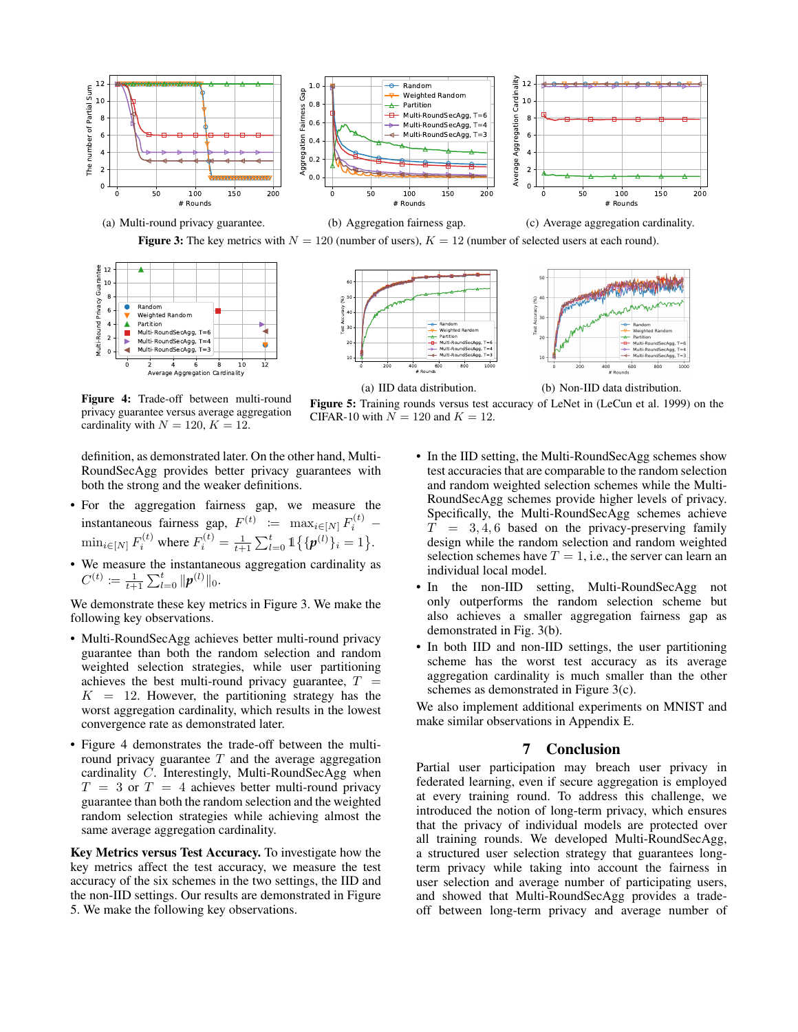





CIFAR-10 with  $N = 120$  and  $K = 12$ .



Figure 5: Training rounds versus test accuracy of LeNet in (LeCun et al. 1999) on the

Figure 4: Trade-off between multi-round privacy guarantee versus average aggregation cardinality with  $N = 120, K = 12$ .

definition, as demonstrated later. On the other hand, Multi-RoundSecAgg provides better privacy guarantees with both the strong and the weaker definitions.

- For the aggregation fairness gap, we measure the instantaneous fairness gap,  $F^{(t)} \coloneqq \max_{i \in [N]} F_i^{(t)}$  –  $\min_{i \in [N]} F_i^{(t)}$  where  $F_i^{(t)} = \frac{1}{t+1} \sum_{l=0}^t \mathbb{1} \{ \{ \boldsymbol{p}^{(l)} \}_i = 1 \}.$
- We measure the instantaneous aggregation cardinality as  $C^{(t)} \coloneqq \frac{1}{t+1} \sum_{l=0}^t \|p^{(l)}\|_0.$

We demonstrate these key metrics in Figure 3. We make the following key observations.

- Multi-RoundSecAgg achieves better multi-round privacy guarantee than both the random selection and random weighted selection strategies, while user partitioning achieves the best multi-round privacy guarantee,  $T =$  $K = 12$ . However, the partitioning strategy has the worst aggregation cardinality, which results in the lowest convergence rate as demonstrated later.
- Figure 4 demonstrates the trade-off between the multiround privacy guarantee  $T$  and the average aggregation cardinality C. Interestingly, Multi-RoundSecAgg when  $T = 3$  or  $T = 4$  achieves better multi-round privacy guarantee than both the random selection and the weighted random selection strategies while achieving almost the same average aggregation cardinality.

Key Metrics versus Test Accuracy. To investigate how the key metrics affect the test accuracy, we measure the test accuracy of the six schemes in the two settings, the IID and the non-IID settings. Our results are demonstrated in Figure 5. We make the following key observations.

- In the IID setting, the Multi-RoundSecAgg schemes show test accuracies that are comparable to the random selection and random weighted selection schemes while the Multi-RoundSecAgg schemes provide higher levels of privacy. Specifically, the Multi-RoundSecAgg schemes achieve  $T = 3, 4, 6$  based on the privacy-preserving family design while the random selection and random weighted selection schemes have  $T = 1$ , i.e., the server can learn an individual local model.
- In the non-IID setting, Multi-RoundSecAgg not only outperforms the random selection scheme but also achieves a smaller aggregation fairness gap as demonstrated in Fig. 3(b).
- In both IID and non-IID settings, the user partitioning scheme has the worst test accuracy as its average aggregation cardinality is much smaller than the other schemes as demonstrated in Figure 3(c).

We also implement additional experiments on MNIST and make similar observations in Appendix E.

### 7 Conclusion

Partial user participation may breach user privacy in federated learning, even if secure aggregation is employed at every training round. To address this challenge, we introduced the notion of long-term privacy, which ensures that the privacy of individual models are protected over all training rounds. We developed Multi-RoundSecAgg, a structured user selection strategy that guarantees longterm privacy while taking into account the fairness in user selection and average number of participating users, and showed that Multi-RoundSecAgg provides a tradeoff between long-term privacy and average number of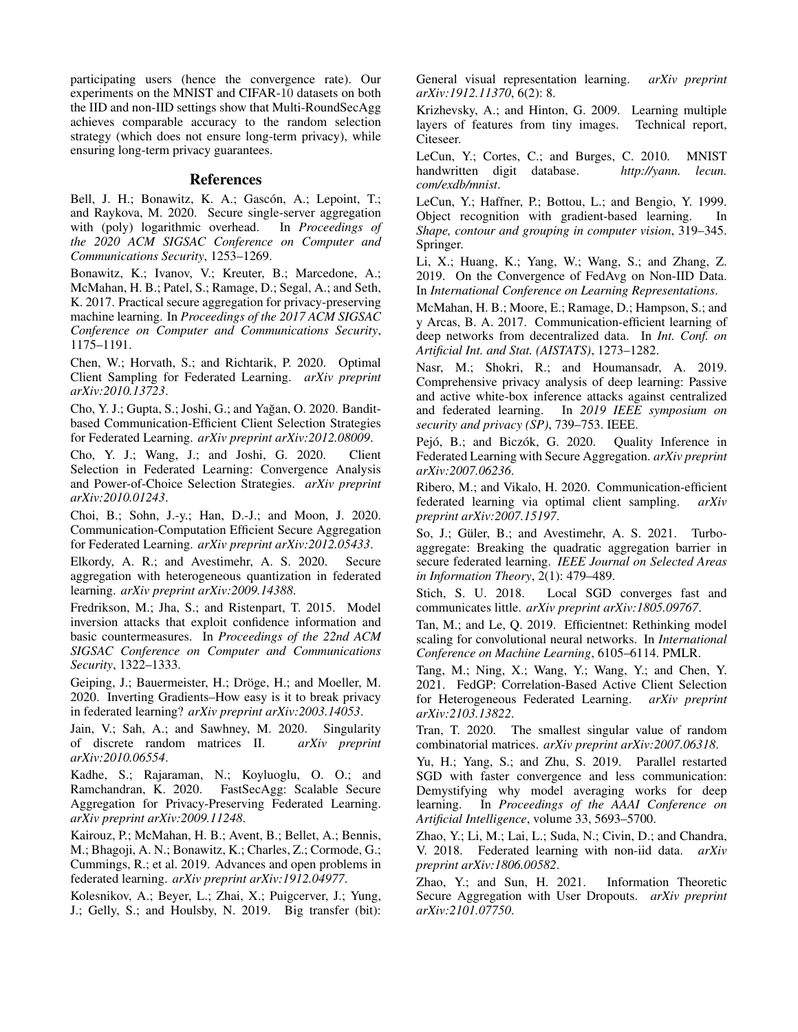participating users (hence the convergence rate). Our experiments on the MNIST and CIFAR-10 datasets on both the IID and non-IID settings show that Multi-RoundSecAgg achieves comparable accuracy to the random selection strategy (which does not ensure long-term privacy), while ensuring long-term privacy guarantees.

#### References

Bell, J. H.; Bonawitz, K. A.; Gascón, A.; Lepoint, T.; and Raykova, M. 2020. Secure single-server aggregation with (poly) logarithmic overhead. In *Proceedings of the 2020 ACM SIGSAC Conference on Computer and Communications Security*, 1253–1269.

Bonawitz, K.; Ivanov, V.; Kreuter, B.; Marcedone, A.; McMahan, H. B.; Patel, S.; Ramage, D.; Segal, A.; and Seth, K. 2017. Practical secure aggregation for privacy-preserving machine learning. In *Proceedings of the 2017 ACM SIGSAC Conference on Computer and Communications Security*, 1175–1191.

Chen, W.; Horvath, S.; and Richtarik, P. 2020. Optimal Client Sampling for Federated Learning. *arXiv preprint arXiv:2010.13723*.

Cho, Y. J.; Gupta, S.; Joshi, G.; and Yağan, O. 2020. Banditbased Communication-Efficient Client Selection Strategies for Federated Learning. *arXiv preprint arXiv:2012.08009*.

Cho, Y. J.; Wang, J.; and Joshi, G. 2020. Client Selection in Federated Learning: Convergence Analysis and Power-of-Choice Selection Strategies. *arXiv preprint arXiv:2010.01243*.

Choi, B.; Sohn, J.-y.; Han, D.-J.; and Moon, J. 2020. Communication-Computation Efficient Secure Aggregation for Federated Learning. *arXiv preprint arXiv:2012.05433*.

Elkordy, A. R.; and Avestimehr, A. S. 2020. Secure aggregation with heterogeneous quantization in federated learning. *arXiv preprint arXiv:2009.14388*.

Fredrikson, M.; Jha, S.; and Ristenpart, T. 2015. Model inversion attacks that exploit confidence information and basic countermeasures. In *Proceedings of the 22nd ACM SIGSAC Conference on Computer and Communications Security*, 1322–1333.

Geiping, J.; Bauermeister, H.; Dröge, H.; and Moeller, M. 2020. Inverting Gradients–How easy is it to break privacy in federated learning? *arXiv preprint arXiv:2003.14053*.

Jain, V.; Sah, A.; and Sawhney, M. 2020. Singularity of discrete random matrices II. *arXiv preprint arXiv:2010.06554*.

Kadhe, S.; Rajaraman, N.; Koyluoglu, O. O.; and Ramchandran, K. 2020. FastSecAgg: Scalable Secure Aggregation for Privacy-Preserving Federated Learning. *arXiv preprint arXiv:2009.11248*.

Kairouz, P.; McMahan, H. B.; Avent, B.; Bellet, A.; Bennis, M.; Bhagoji, A. N.; Bonawitz, K.; Charles, Z.; Cormode, G.; Cummings, R.; et al. 2019. Advances and open problems in federated learning. *arXiv preprint arXiv:1912.04977*.

Kolesnikov, A.; Beyer, L.; Zhai, X.; Puigcerver, J.; Yung, J.; Gelly, S.; and Houlsby, N. 2019. Big transfer (bit):

General visual representation learning. *arXiv preprint arXiv:1912.11370*, 6(2): 8.

Krizhevsky, A.; and Hinton, G. 2009. Learning multiple layers of features from tiny images. Technical report, Citeseer.

LeCun, Y.; Cortes, C.; and Burges, C. 2010. MNIST<br>handwritten digit database. http://yann. lecun. handwritten digit database. *com/exdb/mnist*.

LeCun, Y.; Haffner, P.; Bottou, L.; and Bengio, Y. 1999. Object recognition with gradient-based learning. In *Shape, contour and grouping in computer vision*, 319–345. Springer.

Li, X.; Huang, K.; Yang, W.; Wang, S.; and Zhang, Z. 2019. On the Convergence of FedAvg on Non-IID Data. In *International Conference on Learning Representations*.

McMahan, H. B.; Moore, E.; Ramage, D.; Hampson, S.; and y Arcas, B. A. 2017. Communication-efficient learning of deep networks from decentralized data. In *Int. Conf. on Artificial Int. and Stat. (AISTATS)*, 1273–1282.

Nasr, M.; Shokri, R.; and Houmansadr, A. 2019. Comprehensive privacy analysis of deep learning: Passive and active white-box inference attacks against centralized and federated learning. In *2019 IEEE symposium on security and privacy (SP)*, 739–753. IEEE.

Pejó, B.; and Biczók, G. 2020. Quality Inference in Federated Learning with Secure Aggregation. *arXiv preprint arXiv:2007.06236*.

Ribero, M.; and Vikalo, H. 2020. Communication-efficient federated learning via optimal client sampling. *arXiv preprint arXiv:2007.15197*.

So, J.; Güler, B.; and Avestimehr, A. S. 2021. Turboaggregate: Breaking the quadratic aggregation barrier in secure federated learning. *IEEE Journal on Selected Areas in Information Theory*, 2(1): 479–489.

Stich, S. U. 2018. Local SGD converges fast and communicates little. *arXiv preprint arXiv:1805.09767*.

Tan, M.; and Le, Q. 2019. Efficientnet: Rethinking model scaling for convolutional neural networks. In *International Conference on Machine Learning*, 6105–6114. PMLR.

Tang, M.; Ning, X.; Wang, Y.; Wang, Y.; and Chen, Y. 2021. FedGP: Correlation-Based Active Client Selection for Heterogeneous Federated Learning. *arXiv preprint arXiv:2103.13822*.

Tran, T. 2020. The smallest singular value of random combinatorial matrices. *arXiv preprint arXiv:2007.06318*.

Yu, H.; Yang, S.; and Zhu, S. 2019. Parallel restarted SGD with faster convergence and less communication: Demystifying why model averaging works for deep learning. In *Proceedings of the AAAI Conference on Artificial Intelligence*, volume 33, 5693–5700.

Zhao, Y.; Li, M.; Lai, L.; Suda, N.; Civin, D.; and Chandra, V. 2018. Federated learning with non-iid data. *arXiv preprint arXiv:1806.00582*.

Zhao, Y.; and Sun, H. 2021. Information Theoretic Secure Aggregation with User Dropouts. *arXiv preprint arXiv:2101.07750*.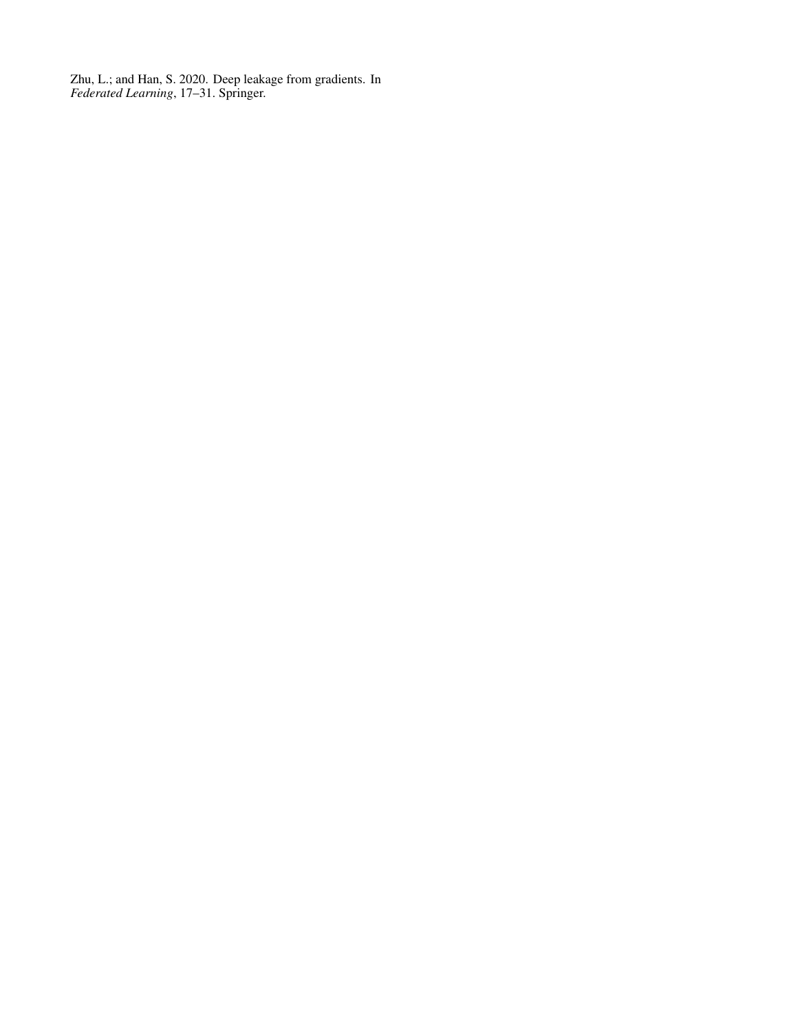Zhu, L.; and Han, S. 2020. Deep leakage from gradients. In *Federated Learning*, 17–31. Springer.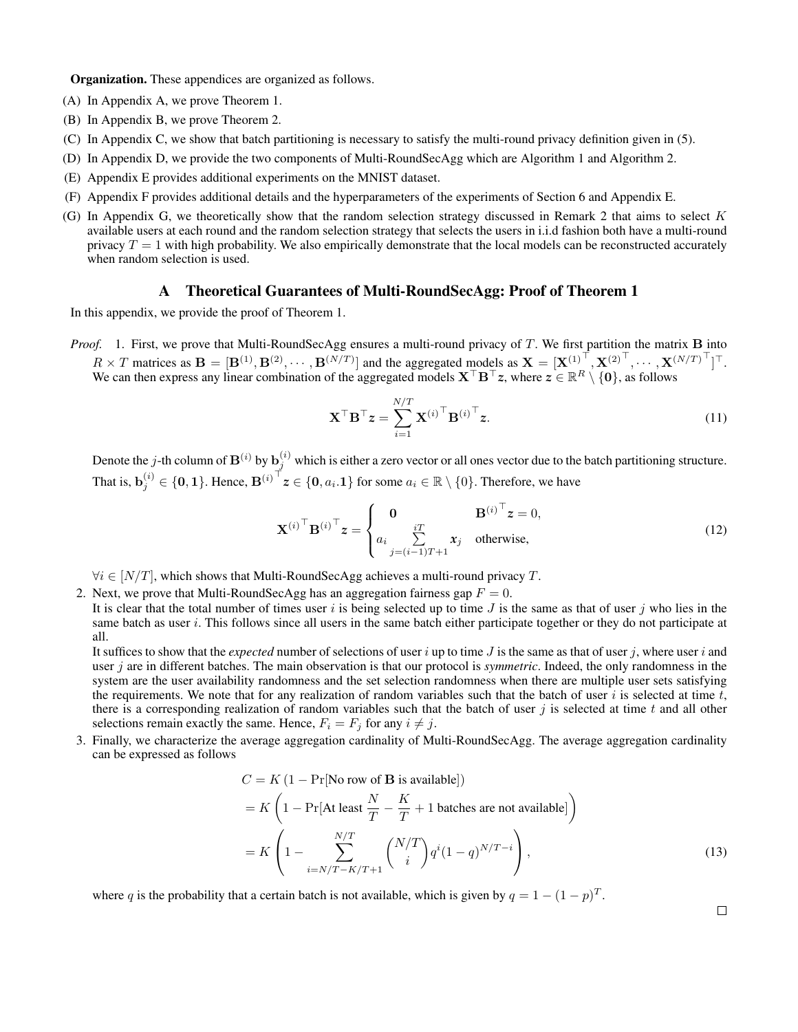Organization. These appendices are organized as follows.

- (A) In Appendix A, we prove Theorem 1.
- (B) In Appendix B, we prove Theorem 2.
- (C) In Appendix C, we show that batch partitioning is necessary to satisfy the multi-round privacy definition given in (5).
- (D) In Appendix D, we provide the two components of Multi-RoundSecAgg which are Algorithm 1 and Algorithm 2.
- (E) Appendix E provides additional experiments on the MNIST dataset.
- (F) Appendix F provides additional details and the hyperparameters of the experiments of Section 6 and Appendix E.
- (G) In Appendix G, we theoretically show that the random selection strategy discussed in Remark 2 that aims to select  $K$ available users at each round and the random selection strategy that selects the users in i.i.d fashion both have a multi-round privacy  $T = 1$  with high probability. We also empirically demonstrate that the local models can be reconstructed accurately when random selection is used.

### A Theoretical Guarantees of Multi-RoundSecAgg: Proof of Theorem 1

In this appendix, we provide the proof of Theorem 1.

*Proof.* 1. First, we prove that Multi-RoundSecAgg ensures a multi-round privacy of T. We first partition the matrix **B** into  $R \times T$  matrices as  $\mathbf{B} = [\mathbf{B}^{(1)}, \mathbf{B}^{(2)}, \cdots, \mathbf{B}^{(N/T)}]$  and the aggregated models as  $\mathbf{X} = [\mathbf{X}^{(1)}^\top, \mathbf{X}^{(2)}^\top, \cdots, \mathbf{X}^{(N/T)}^\top]^\top$ . We can then express any linear combination of the aggregated models  $X^\top B^\top z$ , where  $z \in \mathbb{R}^R \setminus \{0\}$ , as follows

$$
\mathbf{X}^{\top} \mathbf{B}^{\top} \mathbf{z} = \sum_{i=1}^{N/T} \mathbf{X}^{(i)}^{\top} \mathbf{B}^{(i)}^{\top} \mathbf{z}.
$$
 (11)

Denote the j-th column of  $B^{(i)}$  by  $b_j^{(i)}$  which is either a zero vector or all ones vector due to the batch partitioning structure. That is,  $\mathbf{b}_j^{(i)} \in \{0,1\}$ . Hence,  $\mathbf{B}^{(i)^\top} z \in \{0, a_i.1\}$  for some  $a_i \in \mathbb{R} \setminus \{0\}$ . Therefore, we have

$$
\mathbf{X}^{(i)\top} \mathbf{B}^{(i)\top} \mathbf{z} = \begin{cases} \mathbf{0} & \mathbf{B}^{(i)\top} \mathbf{z} = 0, \\ a_i & \sum_{j=(i-1)T+1}^{iT} x_j \quad \text{otherwise,} \end{cases}
$$
(12)

 $\forall i \in [N/T]$ , which shows that Multi-RoundSecAgg achieves a multi-round privacy T.

2. Next, we prove that Multi-RoundSecAgg has an aggregation fairness gap  $F = 0$ .

It is clear that the total number of times user i is being selected up to time J is the same as that of user j who lies in the same batch as user i. This follows since all users in the same batch either participate together or they do not participate at all.

It suffices to show that the *expected* number of selections of user i up to time J is the same as that of user j, where user i and user j are in different batches. The main observation is that our protocol is *symmetric*. Indeed, the only randomness in the system are the user availability randomness and the set selection randomness when there are multiple user sets satisfying the requirements. We note that for any realization of random variables such that the batch of user  $i$  is selected at time  $t$ , there is a corresponding realization of random variables such that the batch of user  $j$  is selected at time  $t$  and all other selections remain exactly the same. Hence,  $F_i = F_j$  for any  $i \neq j$ .

3. Finally, we characterize the average aggregation cardinality of Multi-RoundSecAgg. The average aggregation cardinality can be expressed as follows

$$
C = K (1 - \Pr[\text{No row of } \mathbf{B} \text{ is available}])
$$
  
=  $K \left( 1 - \Pr[\text{At least } \frac{N}{T} - \frac{K}{T} + 1 \text{ batches are not available}]\right)$   
=  $K \left( 1 - \sum_{i=N/T-K/T+1}^{N/T} {N/T \choose i} q^{i} (1-q)^{N/T-i} \right),$  (13)

where q is the probability that a certain batch is not available, which is given by  $q = 1 - (1 - p)^T$ .

 $\Box$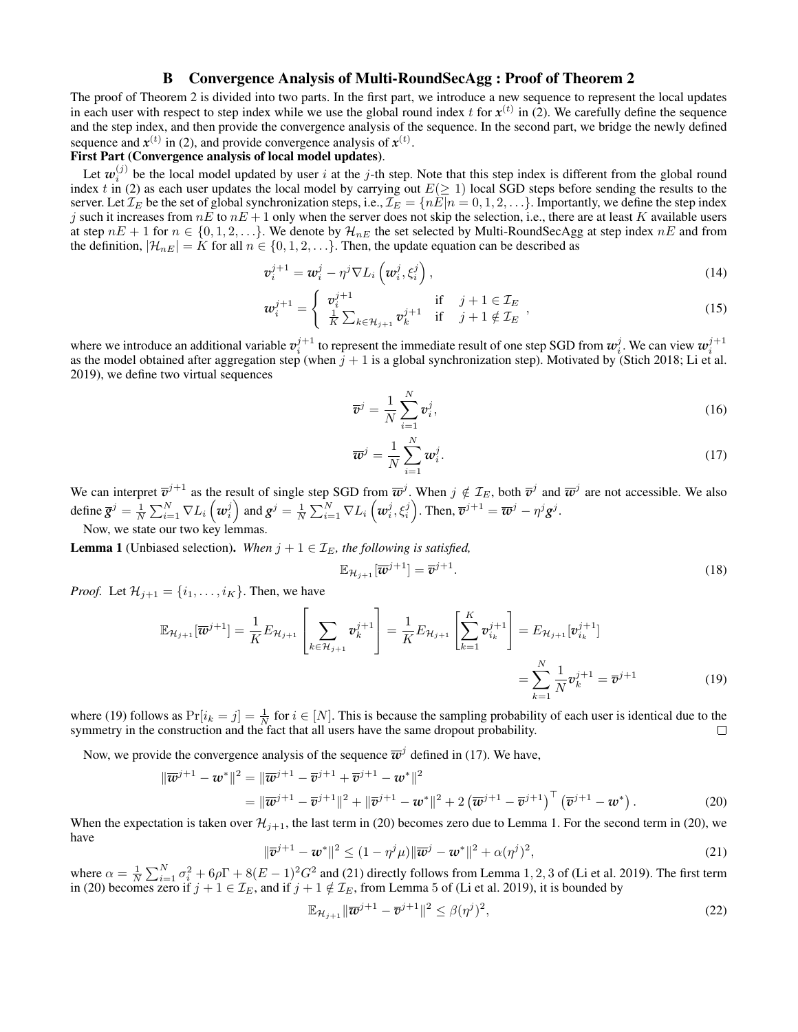# B Convergence Analysis of Multi-RoundSecAgg : Proof of Theorem 2

The proof of Theorem 2 is divided into two parts. In the first part, we introduce a new sequence to represent the local updates in each user with respect to step index while we use the global round index  $t$  for  $x^{(t)}$  in (2). We carefully define the sequence and the step index, and then provide the convergence analysis of the sequence. In the second part, we bridge the newly defined sequence and  $x^{(t)}$  in (2), and provide convergence analysis of  $x^{(t)}$ .

# First Part (Convergence analysis of local model updates).

Let  $w_i^{(j)}$  be the local model updated by user i at the j-th step. Note that this step index is different from the global round index t in (2) as each user updates the local model by carrying out  $E(\geq 1)$  local SGD steps before sending the results to the server. Let  $\mathcal{I}_E$  be the set of global synchronization steps, i.e.,  $\mathcal{I}_E = \{nE|n = 0, 1, 2, \ldots\}$ . Importantly, we define the step index j such it increases from  $nE$  to  $nE + 1$  only when the server does not skip the selection, i.e., there are at least K available users at step  $nE + 1$  for  $n \in \{0, 1, 2, \ldots\}$ . We denote by  $\mathcal{H}_{nE}$  the set selected by Multi-RoundSecAgg at step index  $nE$  and from the definition,  $|\mathcal{H}_{nE}| = K$  for all  $n \in \{0, 1, 2, \ldots\}$ . Then, the update equation can be described as

$$
\boldsymbol{v}_i^{j+1} = \boldsymbol{w}_i^j - \eta^j \nabla L_i \left( \boldsymbol{w}_i^j, \xi_i^j \right), \tag{14}
$$

$$
\boldsymbol{w}_i^{j+1} = \begin{cases} \boldsymbol{v}_i^{j+1} & \text{if } j+1 \in \mathcal{I}_E \\ \frac{1}{K} \sum_{k \in \mathcal{H}_{j+1}} \boldsymbol{v}_k^{j+1} & \text{if } j+1 \notin \mathcal{I}_E \end{cases} \tag{15}
$$

where we introduce an additional variable  $v_i^{j+1}$  to represent the immediate result of one step SGD from  $w_i^j$ . We can view  $w_i^{j+1}$ as the model obtained after aggregation step (when  $j + 1$  is a global synchronization step). Motivated by (Stich 2018; Li et al. 2019), we define two virtual sequences

$$
\overline{v}^j = \frac{1}{N} \sum_{i=1}^N v_i^j,\tag{16}
$$

$$
\overline{\boldsymbol{w}}^j = \frac{1}{N} \sum_{i=1}^N \boldsymbol{w}_i^j.
$$
 (17)

We can interpret  $\overline{v}^{j+1}$  as the result of single step SGD from  $\overline{w}^j$ . When  $j \notin \mathcal{I}_E$ , both  $\overline{v}^j$  and  $\overline{w}^j$  are not accessible. We also define  $\overline{g}^j = \frac{1}{N} \sum_{i=1}^N \nabla L_i \left( w_i^j \right)$  and  $g^j = \frac{1}{N} \sum_{i=1}^N \nabla L_i \left( w_i^j, \xi_i^j \right)$ . Then,  $\overline{v}^{j+1} = \overline{w}^j - \eta^j g^j$ .

Now, we state our two key lemma

**Lemma 1** (Unbiased selection). When  $j + 1 \in \mathcal{I}_E$ , the following is satisfied,

$$
\mathbb{E}_{\mathcal{H}_{j+1}}[\overline{\boldsymbol{w}}^{j+1}] = \overline{\boldsymbol{v}}^{j+1}.
$$
\n(18)

*Proof.* Let  $\mathcal{H}_{i+1} = \{i_1, \ldots, i_K\}$ . Then, we have

$$
\mathbb{E}_{\mathcal{H}_{j+1}}[\overline{\boldsymbol{w}}^{j+1}] = \frac{1}{K} E_{\mathcal{H}_{j+1}} \left[ \sum_{k \in \mathcal{H}_{j+1}} \boldsymbol{v}_k^{j+1} \right] = \frac{1}{K} E_{\mathcal{H}_{j+1}} \left[ \sum_{k=1}^K \boldsymbol{v}_{i_k}^{j+1} \right] = E_{\mathcal{H}_{j+1}}[\boldsymbol{v}_{i_k}^{j+1}]
$$

$$
= \sum_{k=1}^N \frac{1}{N} \boldsymbol{v}_k^{j+1} = \overline{\boldsymbol{v}}^{j+1}
$$
(19)

where (19) follows as  $Pr[i_k = j] = \frac{1}{N}$  for  $i \in [N]$ . This is because the sampling probability of each user is identical due to the symmetry in the construction and the fact that all users have the same dropout probability.  $\Box$ 

Now, we provide the convergence analysis of the sequence  $\overline{w}^j$  defined in (17). We have,

$$
\|\overline{\boldsymbol{w}}^{j+1} - \boldsymbol{w}^*\|^2 = \|\overline{\boldsymbol{w}}^{j+1} - \overline{\boldsymbol{v}}^{j+1} + \overline{\boldsymbol{v}}^{j+1} - \boldsymbol{w}^*\|^2
$$
  
= 
$$
\|\overline{\boldsymbol{w}}^{j+1} - \overline{\boldsymbol{v}}^{j+1}\|^2 + \|\overline{\boldsymbol{v}}^{j+1} - \boldsymbol{w}^*\|^2 + 2\left(\overline{\boldsymbol{w}}^{j+1} - \overline{\boldsymbol{v}}^{j+1}\right)^\top \left(\overline{\boldsymbol{v}}^{j+1} - \boldsymbol{w}^*\right).
$$
 (20)

When the expectation is taken over  $\mathcal{H}_{j+1}$ , the last term in (20) becomes zero due to Lemma 1. For the second term in (20), we have

$$
\|\overline{\mathbf{v}}^{j+1} - \mathbf{w}^*\|^2 \le (1 - \eta^j \mu) \|\overline{\mathbf{w}}^j - \mathbf{w}^*\|^2 + \alpha (\eta^j)^2,
$$
\n(21)

where  $\alpha = \frac{1}{N} \sum_{i=1}^{N} \sigma_i^2 + 6\rho \Gamma + 8(E-1)^2 G^2$  and (21) directly follows from Lemma 1, 2, 3 of (Li et al. 2019). The first term in (20) becomes zero if  $j + 1 \in \mathcal{I}_E$ , and if  $j + 1 \notin \mathcal{I}_E$ , from Lemma 5 of (Li et al. 2019), it is bounded by

$$
\mathbb{E}_{\mathcal{H}_{j+1}} \|\overline{\boldsymbol{w}}^{j+1} - \overline{\boldsymbol{v}}^{j+1}\|^2 \le \beta(\eta^j)^2,\tag{22}
$$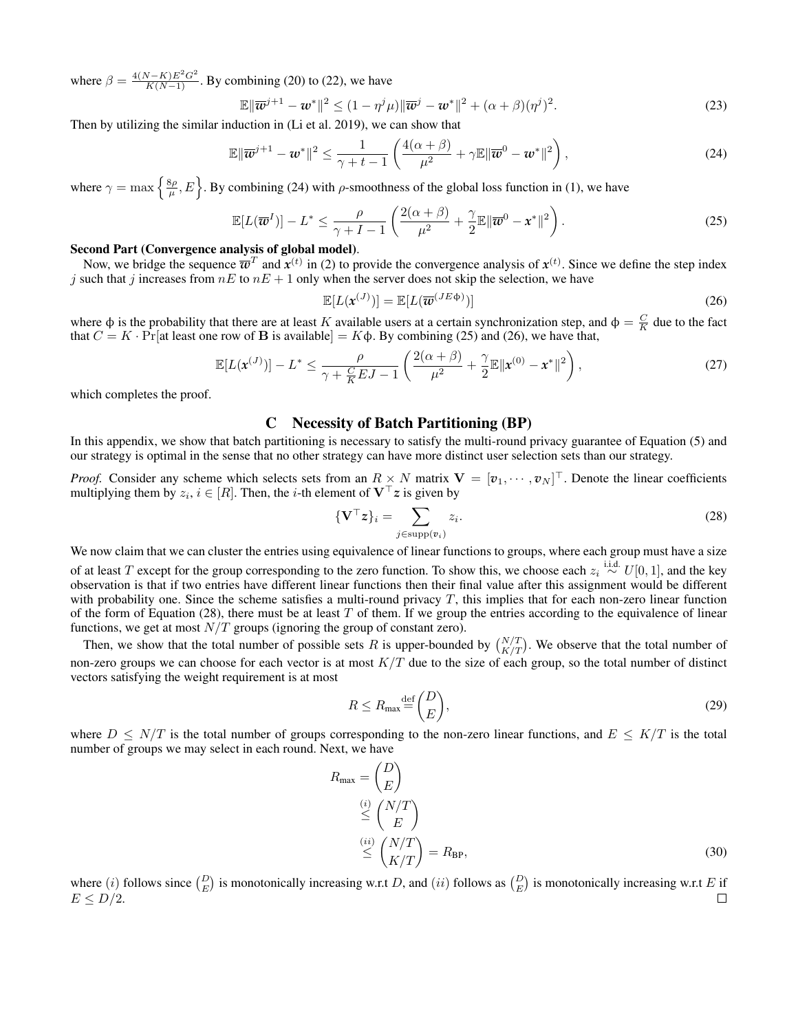where  $\beta = \frac{4(N-K)E^2G^2}{K(N-1)}$ . By combining (20) to (22), we have

$$
\mathbb{E}\|\overline{\boldsymbol{w}}^{j+1} - \boldsymbol{w}^*\|^2 \le (1 - \eta^j \mu) \|\overline{\boldsymbol{w}}^j - \boldsymbol{w}^*\|^2 + (\alpha + \beta)(\eta^j)^2. \tag{23}
$$

Then by utilizing the similar induction in (Li et al. 2019), we can show that

$$
\mathbb{E}\|\overline{\boldsymbol{w}}^{j+1} - \boldsymbol{w}^*\|^2 \le \frac{1}{\gamma + t - 1} \left( \frac{4(\alpha + \beta)}{\mu^2} + \gamma \mathbb{E}\|\overline{\boldsymbol{w}}^0 - \boldsymbol{w}^*\|^2 \right),\tag{24}
$$

where  $\gamma = \max\left\{\frac{8\rho}{\mu}, E\right\}$ . By combining (24) with  $\rho$ -smoothness of the global loss function in (1), we have

$$
\mathbb{E}[L(\overline{\boldsymbol{w}}^{I})] - L^* \leq \frac{\rho}{\gamma + I - 1} \left( \frac{2(\alpha + \beta)}{\mu^2} + \frac{\gamma}{2} \mathbb{E} \|\overline{\boldsymbol{w}}^0 - \boldsymbol{x}^*\|^2 \right).
$$
 (25)

### Second Part (Convergence analysis of global model).

Now, we bridge the sequence  $\overline{w}^T$  and  $x^{(t)}$  in (2) to provide the convergence analysis of  $x^{(t)}$ . Since we define the step index j such that j increases from  $nE$  to  $nE + 1$  only when the server does not skip the selection, we have

$$
\mathbb{E}[L(\mathbf{x}^{(J)})] = \mathbb{E}[L(\overline{\mathbf{w}}^{(JE\Phi)})]
$$
(26)

where  $\phi$  is the probability that there are at least K available users at a certain synchronization step, and  $\phi = \frac{C}{K}$  due to the fact that  $C = K \cdot \Pr$  [at least one row of **B** is available] = K $\phi$ . By combining (25) and (26), we have that,

$$
\mathbb{E}[L(\mathbf{x}^{(J)})] - L^* \le \frac{\rho}{\gamma + \frac{C}{K}EJ - 1} \left( \frac{2(\alpha + \beta)}{\mu^2} + \frac{\gamma}{2} \mathbb{E} ||\mathbf{x}^{(0)} - \mathbf{x}^*||^2 \right),\tag{27}
$$

which completes the proof.

# C Necessity of Batch Partitioning (BP)

In this appendix, we show that batch partitioning is necessary to satisfy the multi-round privacy guarantee of Equation (5) and our strategy is optimal in the sense that no other strategy can have more distinct user selection sets than our strategy.

*Proof.* Consider any scheme which selects sets from an  $R \times N$  matrix  $V = [v_1, \dots, v_N]^\top$ . Denote the linear coefficients multiplying them by  $z_i, i \in [R]$ . Then, the *i*-th element of  $V^{\top}z$  is given by

$$
\{\mathbf V^\top \mathbf z\}_i = \sum_{j \in \text{supp}(\mathbf v_i)} z_i. \tag{28}
$$

We now claim that we can cluster the entries using equivalence of linear functions to groups, where each group must have a size of at least T except for the group corresponding to the zero function. To show this, we choose each  $z_i \stackrel{i.i.d.}{\sim} U[0,1]$ , and the key observation is that if two entries have different linear functions then their final value after this assignment would be different with probability one. Since the scheme satisfies a multi-round privacy  $T$ , this implies that for each non-zero linear function of the form of Equation (28), there must be at least  $T$  of them. If we group the entries according to the equivalence of linear functions, we get at most  $N/T$  groups (ignoring the group of constant zero).

Then, we show that the total number of possible sets R is upper-bounded by  $\binom{N/T}{K/T}$ . We observe that the total number of non-zero groups we can choose for each vector is at most  $K/T$  due to the size of each group, so the total number of distinct vectors satisfying the weight requirement is at most

$$
R \le R_{\text{max}} \stackrel{\text{def}}{=} \binom{D}{E},\tag{29}
$$

where  $D \leq N/T$  is the total number of groups corresponding to the non-zero linear functions, and  $E \leq K/T$  is the total number of groups we may select in each round. Next, we have

$$
R_{\text{max}} = \begin{pmatrix} D \\ E \end{pmatrix}
$$
  
\n
$$
\stackrel{(i)}{\leq} \begin{pmatrix} N/T \\ E \end{pmatrix}
$$
  
\n
$$
\stackrel{(ii)}{\leq} \begin{pmatrix} N/T \\ K/T \end{pmatrix} = R_{\text{BP}},
$$
\n(30)

where (*i*) follows since  $\binom{D}{E}$  is monotonically increasing w.r.t D, and (*ii*) follows as  $\binom{D}{E}$  is monotonically increasing w.r.t E if  $E \le D/2$ .  $\Box$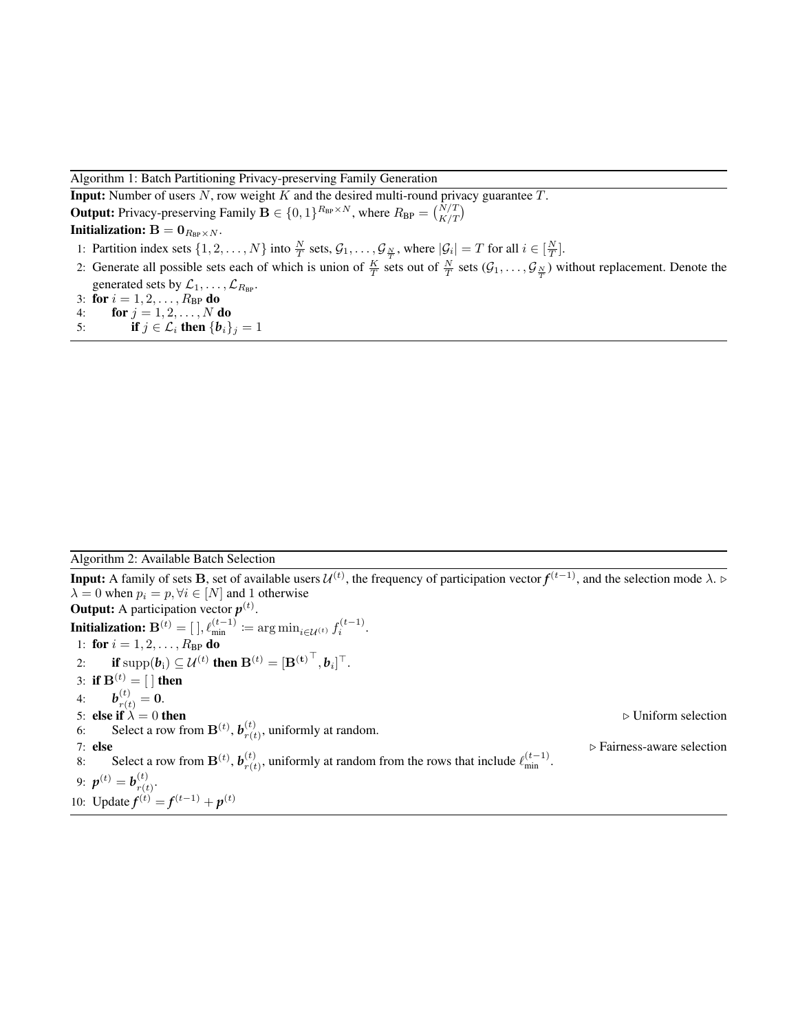### Algorithm 1: Batch Partitioning Privacy-preserving Family Generation

**Input:** Number of users  $N$ , row weight  $K$  and the desired multi-round privacy guarantee  $T$ . **Output:** Privacy-preserving Family  $\mathbf{B} \in \{0, 1\}^{R_{BP} \times N}$ , where  $R_{BP} = {N/T \choose K/T}$ Initialization:  $B = 0_{R_{BP} \times N}$ . 1: Partition index sets  $\{1, 2, ..., N\}$  into  $\frac{N}{T}$  sets,  $\mathcal{G}_1, ..., \mathcal{G}_{\frac{N}{T}}$ , where  $|\mathcal{G}_i| = T$  for all  $i \in [\frac{N}{T}]$ .

2: Generate all possible sets each of which is union of  $\frac{K}{T}$  sets out of  $\frac{N}{T}$  sets  $(\mathcal{G}_1,\ldots,\mathcal{G}_{\frac{N}{T}})$  without replacement. Denote the generated sets by  $\mathcal{L}_1, \ldots, \mathcal{L}_{R_{\text{BP}}}.$ 

3: for  $i = 1, 2, ..., R_{BP}$  do<br>4: for  $j = 1, 2, ..., N$  d

- for  $j=1,2,\ldots,N$  do
- 5: **if**  $j \in \mathcal{L}_i$  then  $\{b_i\}_j = 1$

### Algorithm 2: Available Batch Selection

**Input:** A family of sets **B**, set of available users  $\mathcal{U}^{(t)}$ , the frequency of participation vector  $f^{(t-1)}$ , and the selection mode  $\lambda$ . ⊳  $\lambda = 0$  when  $p_i = p, \forall i \in [N]$  and 1 otherwise **Output:** A participation vector  $p^{(t)}$ . **Initialization:**  $\mathbf{B}^{(t)} = [\ ] , \ell_{\text{min}}^{(t-1)} \coloneqq \arg \min_{i \in \mathcal{U}^{(t)}} f_i^{(t-1)}.$ 1: **for**  $i = 1, 2, ..., R_{BP}$  **do** 2: **if**  $\text{supp}(\boldsymbol{b}_i) \subseteq \mathcal{U}^{(t)}$  then  $\mathbf{B}^{(t)} = {[\mathbf{B}^{(\mathbf{t})}}^\top, \boldsymbol{b}_i]^\top.$ 3: if  $\mathbf{B}^{(t)} = [$  ] then 4:  $\bm{b}_{r(t)}^{(t)} = \bm{0}.$ 5: else if  $\lambda = 0$  then  $\triangleright$  Uniform selection 6: Select a row from  $\mathbf{B}^{(t)}$ ,  $\mathbf{b}_{r(t)}^{(t)}$  $r(t)$ , uniformly at random. 7: else  $\triangleright$  Fairness-aware selection 8: Select a row from  $\mathbf{B}^{(t)}$ ,  $\mathbf{b}_{r(t)}^{(t)}$  $r(t)$ , uniformly at random from the rows that include  $\ell_{\min}^{(t-1)}$ . 9:  $p^{(t)} = b_{r(t)}^{(t)}$  $\frac{\left(\iota\right)}{r(t)}$ . 10: Update  $f^{(t)} = f^{(t-1)} + p^{(t)}$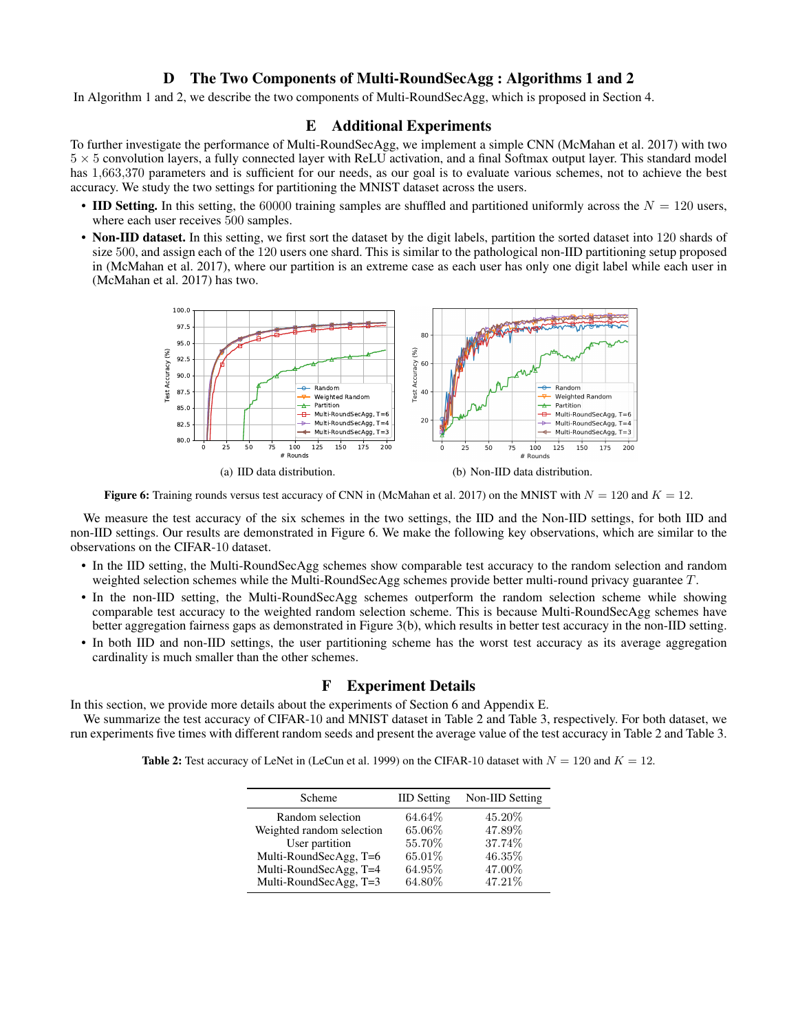# D The Two Components of Multi-RoundSecAgg : Algorithms 1 and 2

In Algorithm 1 and 2, we describe the two components of Multi-RoundSecAgg, which is proposed in Section 4.

### E Additional Experiments

To further investigate the performance of Multi-RoundSecAgg, we implement a simple CNN (McMahan et al. 2017) with two  $5 \times 5$  convolution layers, a fully connected layer with ReLU activation, and a final Softmax output layer. This standard model has 1,663,370 parameters and is sufficient for our needs, as our goal is to evaluate various schemes, not to achieve the best accuracy. We study the two settings for partitioning the MNIST dataset across the users.

- IID Setting. In this setting, the 60000 training samples are shuffled and partitioned uniformly across the  $N = 120$  users, where each user receives 500 samples.
- Non-IID dataset. In this setting, we first sort the dataset by the digit labels, partition the sorted dataset into 120 shards of size 500, and assign each of the 120 users one shard. This is similar to the pathological non-IID partitioning setup proposed in (McMahan et al. 2017), where our partition is an extreme case as each user has only one digit label while each user in (McMahan et al. 2017) has two.



Figure 6: Training rounds versus test accuracy of CNN in (McMahan et al. 2017) on the MNIST with  $N = 120$  and  $K = 12$ .

We measure the test accuracy of the six schemes in the two settings, the IID and the Non-IID settings, for both IID and non-IID settings. Our results are demonstrated in Figure 6. We make the following key observations, which are similar to the observations on the CIFAR-10 dataset.

- In the IID setting, the Multi-RoundSecAgg schemes show comparable test accuracy to the random selection and random weighted selection schemes while the Multi-RoundSecAgg schemes provide better multi-round privacy guarantee T.
- In the non-IID setting, the Multi-RoundSecAgg schemes outperform the random selection scheme while showing comparable test accuracy to the weighted random selection scheme. This is because Multi-RoundSecAgg schemes have better aggregation fairness gaps as demonstrated in Figure 3(b), which results in better test accuracy in the non-IID setting.
- In both IID and non-IID settings, the user partitioning scheme has the worst test accuracy as its average aggregation cardinality is much smaller than the other schemes.

### F Experiment Details

In this section, we provide more details about the experiments of Section 6 and Appendix E.

We summarize the test accuracy of CIFAR-10 and MNIST dataset in Table 2 and Table 3, respectively. For both dataset, we run experiments five times with different random seeds and present the average value of the test accuracy in Table 2 and Table 3.

|  | <b>Table 2:</b> Test accuracy of LeNet in (LeCun et al. 1999) on the CIFAR-10 dataset with $N = 120$ and $K = 12$ . |
|--|---------------------------------------------------------------------------------------------------------------------|
|--|---------------------------------------------------------------------------------------------------------------------|

| Scheme                    | <b>IID</b> Setting | Non-IID Setting |
|---------------------------|--------------------|-----------------|
| Random selection          | 64.64%             | 45.20%          |
| Weighted random selection | 65.06%             | 47.89%          |
| User partition            | 55.70%             | 37.74%          |
| Multi-RoundSecAgg, T=6    | 65.01%             | 46.35%          |
| Multi-RoundSecAgg, T=4    | 64.95%             | 47.00%          |
| Multi-RoundSecAgg, T=3    | 64.80%             | 47.21\%         |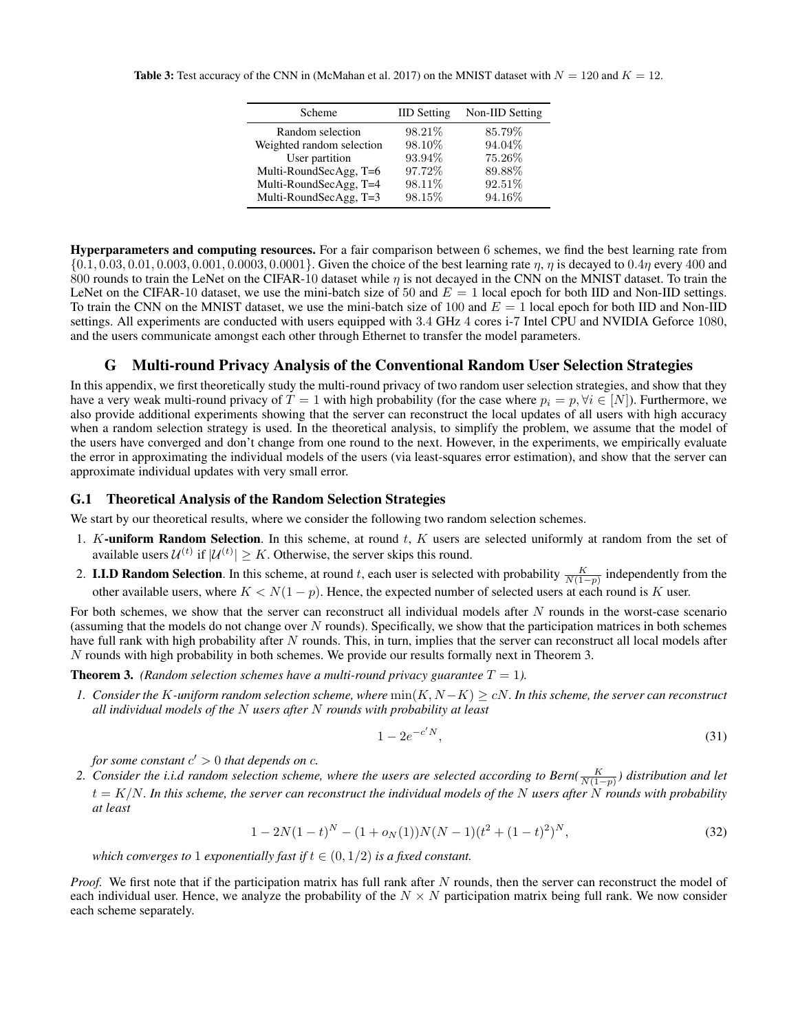| Scheme                    | <b>IID</b> Setting | Non-IID Setting |
|---------------------------|--------------------|-----------------|
| Random selection          | 98.21\%            | 85.79%          |
| Weighted random selection | 98.10%             | 94.04%          |
| User partition            | 93.94%             | 75.26%          |
| Multi-RoundSecAgg, T=6    | 97.72%             | 89.88%          |
| Multi-RoundSecAgg, T=4    | 98.11\%            | 92.51%          |
| Multi-RoundSecAgg, T=3    | 98.15%             | 94.16%          |

Hyperparameters and computing resources. For a fair comparison between 6 schemes, we find the best learning rate from  $\{0.1, 0.03, 0.01, 0.003, 0.001, 0.0003, 0.0001\}$ . Given the choice of the best learning rate  $\eta$ ,  $\eta$  is decayed to  $0.4\eta$  every 400 and 800 rounds to train the LeNet on the CIFAR-10 dataset while  $\eta$  is not decayed in the CNN on the MNIST dataset. To train the LeNet on the CIFAR-10 dataset, we use the mini-batch size of 50 and  $E = 1$  local epoch for both IID and Non-IID settings. To train the CNN on the MNIST dataset, we use the mini-batch size of 100 and  $E = 1$  local epoch for both IID and Non-IID settings. All experiments are conducted with users equipped with 3.4 GHz 4 cores i-7 Intel CPU and NVIDIA Geforce 1080, and the users communicate amongst each other through Ethernet to transfer the model parameters.

# G Multi-round Privacy Analysis of the Conventional Random User Selection Strategies

In this appendix, we first theoretically study the multi-round privacy of two random user selection strategies, and show that they have a very weak multi-round privacy of  $T = 1$  with high probability (for the case where  $p_i = p, \forall i \in [N]$ ). Furthermore, we also provide additional experiments showing that the server can reconstruct the local updates of all users with high accuracy when a random selection strategy is used. In the theoretical analysis, to simplify the problem, we assume that the model of the users have converged and don't change from one round to the next. However, in the experiments, we empirically evaluate the error in approximating the individual models of the users (via least-squares error estimation), and show that the server can approximate individual updates with very small error.

#### G.1 Theoretical Analysis of the Random Selection Strategies

We start by our theoretical results, where we consider the following two random selection schemes.

- 1. K-uniform Random Selection. In this scheme, at round  $t$ ,  $K$  users are selected uniformly at random from the set of available users  $\mathcal{U}^{(t)}$  if  $|\mathcal{U}^{(t)}| \geq K$ . Otherwise, the server skips this round.
- 2. **I.I.D Random Selection**. In this scheme, at round t, each user is selected with probability  $\frac{K}{N(1-p)}$  independently from the other available users, where  $K < N(1 - p)$ . Hence, the expected number of selected users at each round is K user.

For both schemes, we show that the server can reconstruct all individual models after N rounds in the worst-case scenario (assuming that the models do not change over N rounds). Specifically, we show that the participation matrices in both schemes have full rank with high probability after N rounds. This, in turn, implies that the server can reconstruct all local models after N rounds with high probability in both schemes. We provide our results formally next in Theorem 3.

**Theorem 3.** *(Random selection schemes have a multi-round privacy guarantee*  $T = 1$ *).* 

*1.* Consider the K-uniform random selection scheme, where  $min(K, N - K) \ge cN$ . In this scheme, the server can reconstruct *all individual models of the* N *users after* N *rounds with probability at least*

$$
1 - 2e^{-c'N},\tag{31}
$$

*for some constant*  $c' > 0$  *that depends on c.* 

2. Consider the i.i.d random selection scheme, where the users are selected according to Bern( $\frac{K}{N(1-p)}$ ) distribution and let t = K/N*. In this scheme, the server can reconstruct the individual models of the* N *users after* N *rounds with probability at least*

$$
1 - 2N(1 - t)^N - (1 + o_N(1))N(N - 1)(t^2 + (1 - t)^2)^N,
$$
\n(32)

*which converges to* 1 *exponentially fast if*  $t \in (0, 1/2)$  *is a fixed constant.* 

*Proof.* We first note that if the participation matrix has full rank after N rounds, then the server can reconstruct the model of each individual user. Hence, we analyze the probability of the  $N \times N$  participation matrix being full rank. We now consider each scheme separately.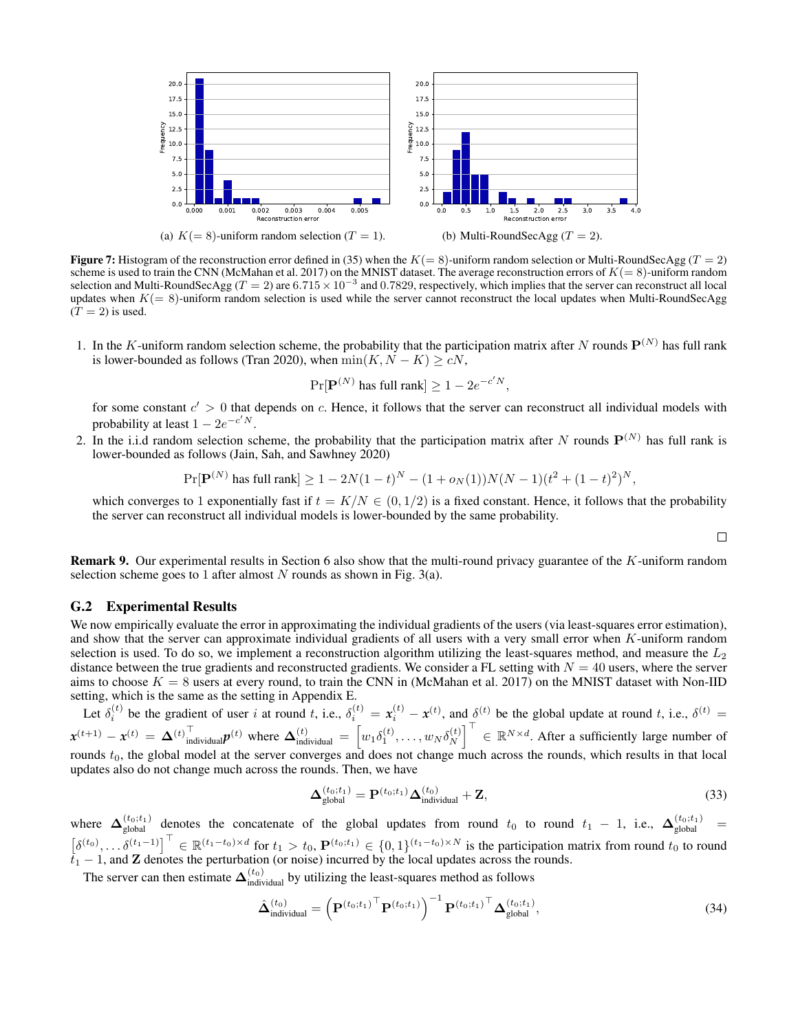

**Figure 7:** Histogram of the reconstruction error defined in (35) when the  $K(= 8)$ -uniform random selection or Multi-RoundSecAgg (T = 2) scheme is used to train the CNN (McMahan et al. 2017) on the MNIST dataset. The average reconstruction errors of  $K(= 8)$ -uniform random selection and Multi-RoundSecAgg ( $T = 2$ ) are  $6.715 \times 10^{-3}$  and 0.7829, respectively, which implies that the server can reconstruct all local updates when  $K(= 8)$ -uniform random selection is used while the server cannot reconstruct the local updates when Multi-RoundSecAgg  $(T = 2)$  is used.

1. In the K-uniform random selection scheme, the probability that the participation matrix after N rounds  $P^{(N)}$  has full rank is lower-bounded as follows (Tran 2020), when  $\min(K, N - K) > cN$ ,

$$
\Pr[\mathbf{P}^{(N)} \text{ has full rank}] \ge 1 - 2e^{-c'N},
$$

for some constant  $c' > 0$  that depends on c. Hence, it follows that the server can reconstruct all individual models with probability at least  $1 - 2e^{-c^{\prime} N}$ .

2. In the i.i.d random selection scheme, the probability that the participation matrix after N rounds  $P^{(N)}$  has full rank is lower-bounded as follows (Jain, Sah, and Sawhney 2020)

$$
\Pr[\mathbf{P}^{(N)} \text{ has full rank}] \ge 1 - 2N(1-t)^N - (1+o_N(1))N(N-1)(t^2 + (1-t)^2)^N,
$$

which converges to 1 exponentially fast if  $t = K/N \in (0, 1/2)$  is a fixed constant. Hence, it follows that the probability the server can reconstruct all individual models is lower-bounded by the same probability.

 $\Box$ 

Remark 9. Our experimental results in Section 6 also show that the multi-round privacy guarantee of the K-uniform random selection scheme goes to 1 after almost N rounds as shown in Fig.  $3(a)$ .

#### G.2 Experimental Results

We now empirically evaluate the error in approximating the individual gradients of the users (via least-squares error estimation), and show that the server can approximate individual gradients of all users with a very small error when K-uniform random selection is used. To do so, we implement a reconstruction algorithm utilizing the least-squares method, and measure the  $L_2$ distance between the true gradients and reconstructed gradients. We consider a FL setting with  $N = 40$  users, where the server aims to choose  $K = 8$  users at every round, to train the CNN in (McMahan et al. 2017) on the MNIST dataset with Non-IID setting, which is the same as the setting in Appendix E.

Let  $\delta_i^{(t)}$  be the gradient of user i at round t, i.e.,  $\delta_i^{(t)} = x_i^{(t)} - x^{(t)}$ , and  $\delta^{(t)}$  be the global update at round t, i.e.,  $\delta^{(t)} =$  $\mathbf{x}^{(t+1)} - \mathbf{x}^{(t)} = \mathbf{\Delta}^{(t)} \cdot \text{individual} \mathbf{p}^{(t)}$  where  $\mathbf{\Delta}^{(t)}_{\text{individual}} = \left[w_1 \delta_1^{(t)}, \dots, w_N \delta_N^{(t)}\right]$  $\begin{bmatrix} (t) \\ N \end{bmatrix}^{\top} \in \mathbb{R}^{N \times d}$ . After a sufficiently large number of rounds  $t_0$ , the global model at the server converges and does not change much across the rounds, which results in that local updates also do not change much across the rounds. Then, we have

$$
\mathbf{\Delta}_{\text{global}}^{(t_0;t_1)} = \mathbf{P}^{(t_0;t_1)} \mathbf{\Delta}_{\text{individual}}^{(t_0)} + \mathbf{Z},\tag{33}
$$

where  $\Delta_{global}^{(t_0;t_1)}$  denotes the concatenate of the global updates from round  $t_0$  to round  $t_1 - 1$ , i.e.,  $\Delta_{global}^{(t_0;t_1)}$  =  $\left[\delta^{(t_0)},\ldots,\delta^{(t_1-1)}\right]^\top \in \mathbb{R}^{(t_1-t_0)\times d}$  for  $t_1 > t_0$ ,  $\mathbf{P}^{(t_0;t_1)} \in \{0,1\}^{(t_1-t_0)\times N}$  is the participation matrix from round  $t_0$  to round  $t_1 - 1$ , and **Z** denotes the perturbation (or noise) incurred by the local updates across the rounds.

The server can then estimate  $\Delta_{indivial}^{(t_0)}$  by utilizing the least-squares method as follows

$$
\hat{\mathbf{\Delta}}_{\text{individual}}^{(t_0)} = \left(\mathbf{P}^{(t_0;t_1)}^{\top}\mathbf{P}^{(t_0;t_1)}\right)^{-1}\mathbf{P}^{(t_0;t_1)}^{\top}\mathbf{\Delta}_{\text{global}}^{(t_0;t_1)},
$$
\n(34)